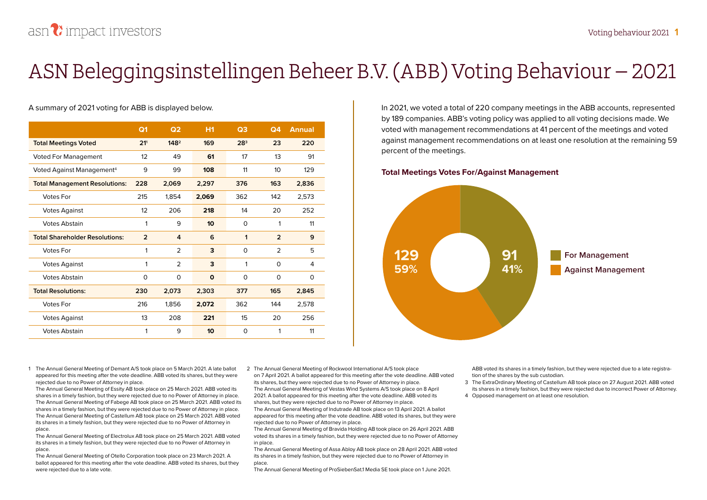## **ASN Beleggingsinstellingen Beheer B.V. (ABB) Voting Behaviour – 2021**

#### A summary of 2021 voting for ABB is displayed below.

|                                       | Q <sub>1</sub>  | Q <sub>2</sub>   | H <sub>1</sub> | Q <sub>3</sub>  | Q <sub>4</sub>   | <b>Annual</b> |
|---------------------------------------|-----------------|------------------|----------------|-----------------|------------------|---------------|
| <b>Total Meetings Voted</b>           | 21 <sup>1</sup> | 148 <sup>2</sup> | 169            | 28 <sup>3</sup> | 23               | 220           |
| <b>Voted For Management</b>           | 12              | 49               | 61             | 17              | 13               | 91            |
| Voted Against Management <sup>4</sup> | 9               | 99               | 108            | 11              | 10 <sup>10</sup> | 129           |
| <b>Total Management Resolutions:</b>  | 228             | 2,069            | 2,297          | 376             | 163              | 2,836         |
| <b>Votes For</b>                      | 215             | 1,854            | 2,069          | 362             | 142              | 2,573         |
| <b>Votes Against</b>                  | 12              | 206              | 218            | 14              | 20               | 252           |
| <b>Votes Abstain</b>                  | 1               | 9                | 10             | $\Omega$        | 1                | 11            |
| <b>Total Shareholder Resolutions:</b> | $\overline{2}$  | 4                | 6              | 1               | $\overline{2}$   | 9             |
| <b>Votes For</b>                      | 1               | $\mathcal{P}$    | 3              | $\Omega$        | $\mathcal{P}$    | 5             |
| <b>Votes Against</b>                  | 1               | 2                | 3              | 1               | 0                | 4             |
| <b>Votes Abstain</b>                  | $\Omega$        | $\Omega$         | $\mathbf{o}$   | $\Omega$        | 0                | $\Omega$      |
| <b>Total Resolutions:</b>             | 230             | 2,073            | 2,303          | 377             | 165              | 2,845         |
| <b>Votes For</b>                      | 216             | 1,856            | 2,072          | 362             | 144              | 2,578         |
| <b>Votes Against</b>                  | 13              | 208              | 221            | 15              | 20               | 256           |
| <b>Votes Abstain</b>                  | 1               | 9                | 10             | $\Omega$        | 1                | 11            |

In 2021, we voted a total of 220 company meetings in the ABB accounts, represented by 189 companies. ABB's voting policy was applied to all voting decisions made. We voted with management recommendations at 41 percent of the meetings and voted against management recommendations on at least one resolution at the remaining 59 percent of the meetings.

#### **Total Meetings Votes For/Against Management**



1 The Annual General Meeting of Demant A/S took place on 5 March 2021. A late ballot appeared for this meeting after the vote deadline. ABB voted its shares, but they were rejected due to no Power of Attorney in place.

The Annual General Meeting of Essity AB took place on 25 March 2021. ABB voted its shares in a timely fashion, but they were rejected due to no Power of Attorney in place. The Annual General Meeting of Fabege AB took place on 25 March 2021. ABB voted its shares in a timely fashion, but they were rejected due to no Power of Attorney in place. The Annual General Meeting of Castellum AB took place on 25 March 2021. ABB voted its shares in a timely fashion, but they were rejected due to no Power of Attorney in place.

The Annual General Meeting of Electrolux AB took place on 25 March 2021. ABB voted its shares in a timely fashion, but they were rejected due to no Power of Attorney in place.

The Annual General Meeting of Otello Corporation took place on 23 March 2021. A ballot appeared for this meeting after the vote deadline. ABB voted its shares, but they were rejected due to a late vote.

2 The Annual General Meeting of Rockwool International A/S took place on 7 April 2021. A ballot appeared for this meeting after the vote deadline. ABB voted its shares, but they were rejected due to no Power of Attorney in place. The Annual General Meeting of Vestas Wind Systems A/S took place on 8 April 2021. A ballot appeared for this meeting after the vote deadline. ABB voted its shares, but they were rejected due to no Power of Attorney in place. The Annual General Meeting of Indutrade AB took place on 13 April 2021. A ballot

appeared for this meeting after the vote deadline. ABB voted its shares, but they were rejected due to no Power of Attorney in place.

The Annual General Meeting of Bravida Holding AB took place on 26 April 2021. ABB voted its shares in a timely fashion, but they were rejected due to no Power of Attorney in place.

The Annual General Meeting of Assa Abloy AB took place on 28 April 2021. ABB voted its shares in a timely fashion, but they were rejected due to no Power of Attorney in place.

The Annual General Meeting of ProSiebenSat.1 Media SE took place on 1 June 2021.

ABB voted its shares in a timely fashion, but they were rejected due to a late registration of the shares by the sub custodian.

- 3 The ExtraOrdinary Meeting of Castellum AB took place on 27 August 2021. ABB voted its shares in a timely fashion, but they were rejected due to incorrect Power of Attorney.
- 4 Opposed management on at least one resolution.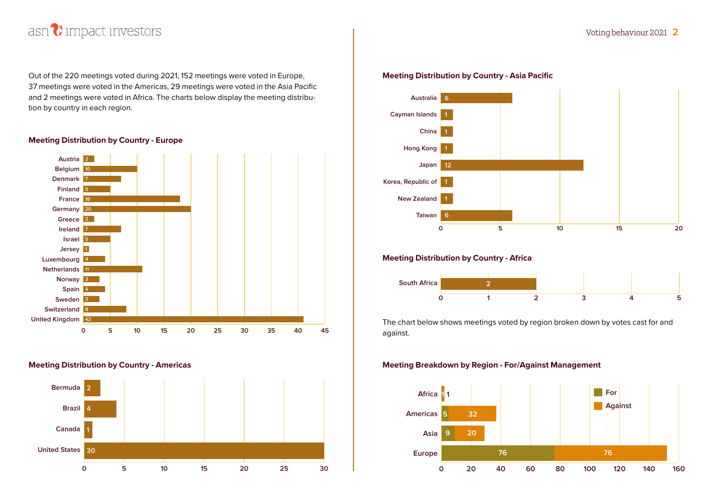

Out of the 220 meetings voted during 2021, 152 meetings were voted in Europe, 37 meetings were voted in the Americas, 29 meetings were voted in the Asia Pacific and 2 meetings were voted in Africa. The charts below display the meeting distribution by country in each region.

#### **Meeting Distribution by Country - Europe**



#### **Meeting Distribution by Country - Americas**



#### **Meeting Distribution by Country - Asia Pacific**



#### **Meeting Distribution by Country - Africa**



The chart below shows meetings voted by region broken down by votes cast for and against.

#### **Meeting Breakdown by Region - For/Against Management**

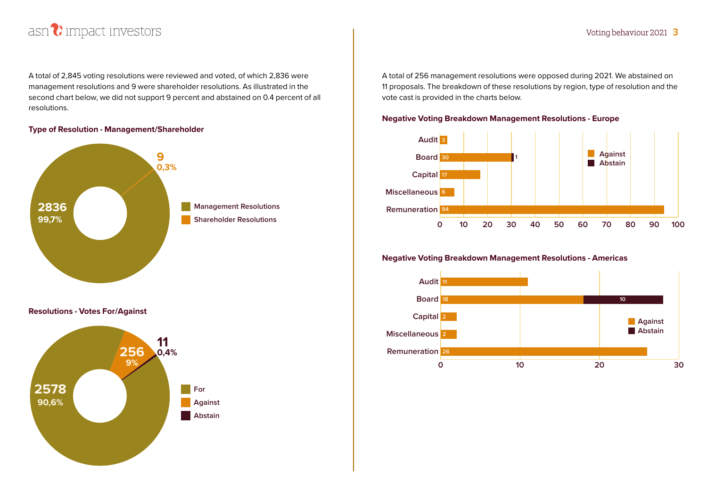

A total of 2,845 voting resolutions were reviewed and voted, of which 2,836 were management resolutions and 9 were shareholder resolutions. As illustrated in the second chart below, we did not support 9 percent and abstained on 0.4 percent of all resolutions.

#### **Type of Resolution - Management/Shareholder**



**Resolutions - Votes For/Against**



A total of 256 management resolutions were opposed during 2021. We abstained on 11 proposals. The breakdown of these resolutions by region, type of resolution and the vote cast is provided in the charts below.

#### **Negative Voting Breakdown Management Resolutions - Europe**



#### **Negative Voting Breakdown Management Resolutions - Americas**

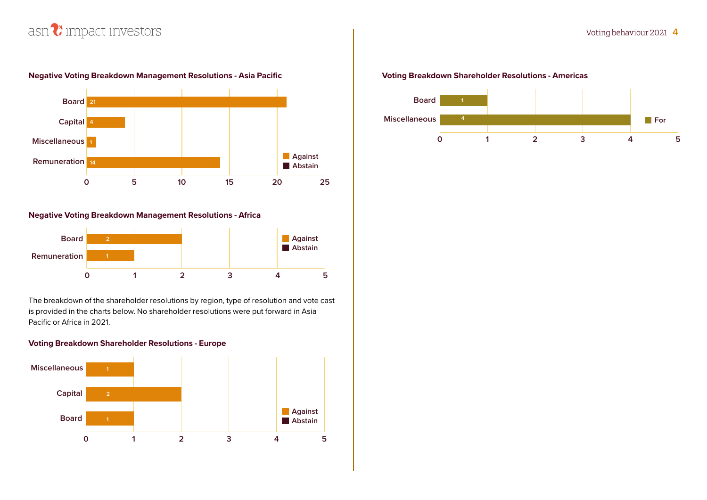

#### **Negative Voting Breakdown Management Resolutions - Asia Pacific**

#### **Negative Voting Breakdown Management Resolutions - Africa**



The breakdown of the shareholder resolutions by region, type of resolution and vote cast is provided in the charts below. No shareholder resolutions were put forward in Asia Pacific or Africa in 2021.

#### **Voting Breakdown Shareholder Resolutions - Europe**



#### **Voting Breakdown Shareholder Resolutions - Americas**

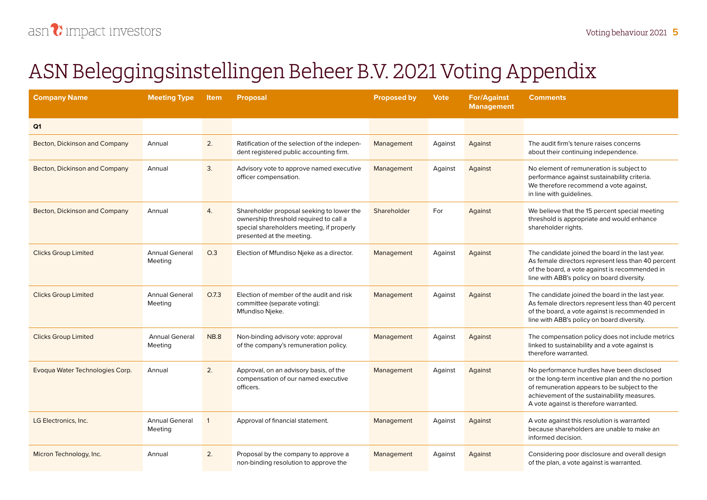# **ASN Beleggingsinstellingen Beheer B.V. 2021 Voting Appendix**

| <b>Company Name</b>             | <b>Meeting Type</b>              | <b>Item</b> | <b>Proposal</b>                                                                                                                                               | <b>Proposed by</b> | <b>Vote</b> | <b>For/Against</b><br><b>Management</b> | <b>Comments</b>                                                                                                                                                                                                                           |
|---------------------------------|----------------------------------|-------------|---------------------------------------------------------------------------------------------------------------------------------------------------------------|--------------------|-------------|-----------------------------------------|-------------------------------------------------------------------------------------------------------------------------------------------------------------------------------------------------------------------------------------------|
| Q <sub>1</sub>                  |                                  |             |                                                                                                                                                               |                    |             |                                         |                                                                                                                                                                                                                                           |
| Becton, Dickinson and Company   | Annual                           | 2.          | Ratification of the selection of the indepen-<br>dent registered public accounting firm.                                                                      | Management         | Against     | Against                                 | The audit firm's tenure raises concerns<br>about their continuing independence.                                                                                                                                                           |
| Becton, Dickinson and Company   | Annual                           | 3.          | Advisory vote to approve named executive<br>officer compensation.                                                                                             | Management         | Against     | Against                                 | No element of remuneration is subject to<br>performance against sustainability criteria.<br>We therefore recommend a vote against,<br>in line with guidelines.                                                                            |
| Becton, Dickinson and Company   | Annual                           | 4.          | Shareholder proposal seeking to lower the<br>ownership threshold required to call a<br>special shareholders meeting, if properly<br>presented at the meeting. | Shareholder        | For         | Against                                 | We believe that the 15 percent special meeting<br>threshold is appropriate and would enhance<br>shareholder rights.                                                                                                                       |
| <b>Clicks Group Limited</b>     | <b>Annual General</b><br>Meeting | O.3         | Election of Mfundiso Njeke as a director.                                                                                                                     | Management         | Against     | Against                                 | The candidate joined the board in the last year.<br>As female directors represent less than 40 percent<br>of the board, a vote against is recommended in<br>line with ABB's policy on board diversity.                                    |
| <b>Clicks Group Limited</b>     | <b>Annual General</b><br>Meeting | O.7.3       | Election of member of the audit and risk<br>committee (separate voting):<br>Mfundiso Njeke.                                                                   | Management         | Against     | Against                                 | The candidate joined the board in the last year.<br>As female directors represent less than 40 percent<br>of the board, a vote against is recommended in<br>line with ABB's policy on board diversity.                                    |
| <b>Clicks Group Limited</b>     | <b>Annual General</b><br>Meeting | <b>NB.8</b> | Non-binding advisory vote: approval<br>of the company's remuneration policy.                                                                                  | Management         | Against     | Against                                 | The compensation policy does not include metrics<br>linked to sustainability and a vote against is<br>therefore warranted.                                                                                                                |
| Evoqua Water Technologies Corp. | Annual                           | 2.          | Approval, on an advisory basis, of the<br>compensation of our named executive<br>officers.                                                                    | Management         | Against     | Against                                 | No performance hurdles have been disclosed<br>or the long-term incentive plan and the no portion<br>of remuneration appears to be subject to the<br>achievement of the sustainability measures.<br>A vote against is therefore warranted. |
| LG Electronics, Inc.            | <b>Annual General</b><br>Meeting | -1          | Approval of financial statement.                                                                                                                              | Management         | Against     | Against                                 | A vote against this resolution is warranted<br>because shareholders are unable to make an<br>informed decision.                                                                                                                           |
| Micron Technology, Inc.         | Annual                           | 2.          | Proposal by the company to approve a<br>non-binding resolution to approve the                                                                                 | Management         | Against     | Against                                 | Considering poor disclosure and overall design<br>of the plan, a vote against is warranted.                                                                                                                                               |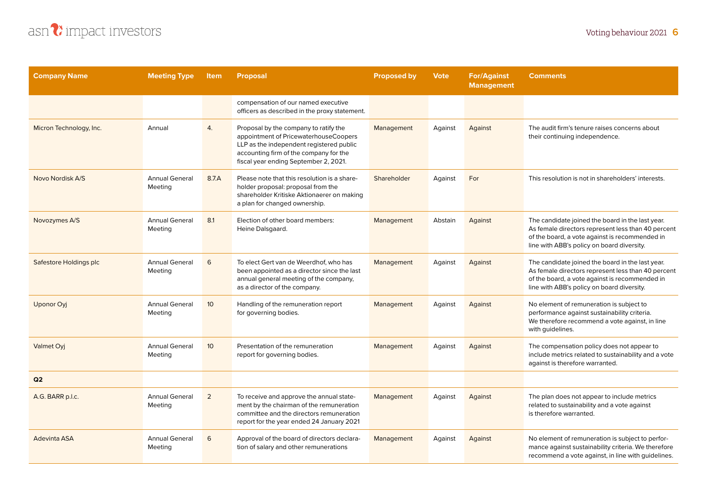

| <b>Company Name</b>     | <b>Meeting Type</b>              | <b>Item</b>     | <b>Proposal</b>                                                                                                                                                                                               | <b>Proposed by</b> | <b>Vote</b> | <b>For/Against</b><br><b>Management</b> | <b>Comments</b>                                                                                                                                                                                        |
|-------------------------|----------------------------------|-----------------|---------------------------------------------------------------------------------------------------------------------------------------------------------------------------------------------------------------|--------------------|-------------|-----------------------------------------|--------------------------------------------------------------------------------------------------------------------------------------------------------------------------------------------------------|
|                         |                                  |                 | compensation of our named executive<br>officers as described in the proxy statement.                                                                                                                          |                    |             |                                         |                                                                                                                                                                                                        |
| Micron Technology, Inc. | Annual                           | 4.              | Proposal by the company to ratify the<br>appointment of PricewaterhouseCoopers<br>LLP as the independent registered public<br>accounting firm of the company for the<br>fiscal year ending September 2, 2021. | Management         | Against     | Against                                 | The audit firm's tenure raises concerns about<br>their continuing independence.                                                                                                                        |
| Novo Nordisk A/S        | <b>Annual General</b><br>Meeting | 8.7.A           | Please note that this resolution is a share-<br>holder proposal: proposal from the<br>shareholder Kritiske Aktionaerer on making<br>a plan for changed ownership.                                             | Shareholder        | Against     | For                                     | This resolution is not in shareholders' interests.                                                                                                                                                     |
| Novozymes A/S           | <b>Annual General</b><br>Meeting | 8.1             | Election of other board members:<br>Heine Dalsgaard.                                                                                                                                                          | Management         | Abstain     | Against                                 | The candidate joined the board in the last year.<br>As female directors represent less than 40 percent<br>of the board, a vote against is recommended in<br>line with ABB's policy on board diversity. |
| Safestore Holdings plc  | <b>Annual General</b><br>Meeting | 6               | To elect Gert van de Weerdhof, who has<br>been appointed as a director since the last<br>annual general meeting of the company,<br>as a director of the company.                                              | Management         | Against     | Against                                 | The candidate joined the board in the last year.<br>As female directors represent less than 40 percent<br>of the board, a vote against is recommended in<br>line with ABB's policy on board diversity. |
| Uponor Oyj              | <b>Annual General</b><br>Meeting | 10 <sup>°</sup> | Handling of the remuneration report<br>for governing bodies.                                                                                                                                                  | Management         | Against     | Against                                 | No element of remuneration is subject to<br>performance against sustainability criteria.<br>We therefore recommend a vote against, in line<br>with guidelines.                                         |
| Valmet Oyj              | <b>Annual General</b><br>Meeting | 10 <sup>°</sup> | Presentation of the remuneration<br>report for governing bodies.                                                                                                                                              | Management         | Against     | Against                                 | The compensation policy does not appear to<br>include metrics related to sustainability and a vote<br>against is therefore warranted.                                                                  |
| Q2                      |                                  |                 |                                                                                                                                                                                                               |                    |             |                                         |                                                                                                                                                                                                        |
| A.G. BARR p.l.c.        | <b>Annual General</b><br>Meeting | $\overline{2}$  | To receive and approve the annual state-<br>ment by the chairman of the remuneration<br>committee and the directors remuneration<br>report for the year ended 24 January 2021                                 | Management         | Against     | Against                                 | The plan does not appear to include metrics<br>related to sustainability and a vote against<br>is therefore warranted.                                                                                 |
| Adevinta ASA            | <b>Annual General</b><br>Meeting | 6               | Approval of the board of directors declara-<br>tion of salary and other remunerations                                                                                                                         | Management         | Against     | Against                                 | No element of remuneration is subject to perfor-<br>mance against sustainability criteria. We therefore<br>recommend a vote against, in line with quidelines.                                          |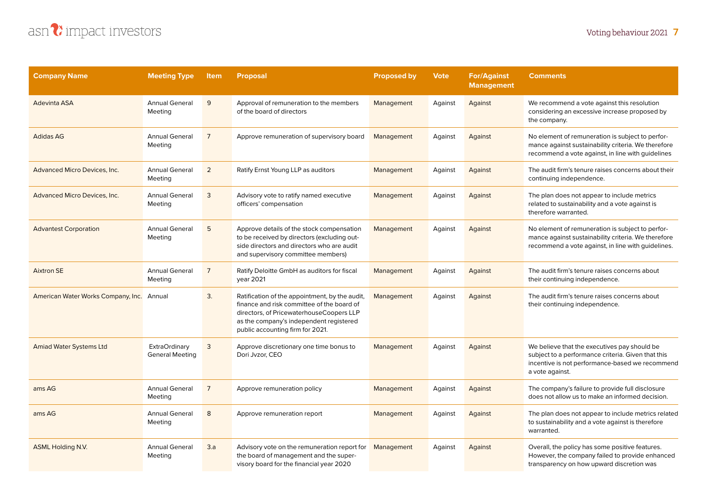| <b>Company Name</b>                       | <b>Meeting Type</b>                     | <b>Item</b>    | <b>Proposal</b>                                                                                                                                                                                                         | <b>Proposed by</b> | Vote    | <b>For/Against</b><br><b>Management</b> | <b>Comments</b>                                                                                                                                                          |
|-------------------------------------------|-----------------------------------------|----------------|-------------------------------------------------------------------------------------------------------------------------------------------------------------------------------------------------------------------------|--------------------|---------|-----------------------------------------|--------------------------------------------------------------------------------------------------------------------------------------------------------------------------|
| Adevinta ASA                              | <b>Annual General</b><br>Meeting        | 9              | Approval of remuneration to the members<br>of the board of directors                                                                                                                                                    | Management         | Against | Against                                 | We recommend a vote against this resolution<br>considering an excessive increase proposed by<br>the company.                                                             |
| <b>Adidas AG</b>                          | <b>Annual General</b><br>Meeting        | $\overline{7}$ | Approve remuneration of supervisory board                                                                                                                                                                               | Management         | Against | Against                                 | No element of remuneration is subject to perfor-<br>mance against sustainability criteria. We therefore<br>recommend a vote against, in line with guidelines             |
| Advanced Micro Devices, Inc.              | <b>Annual General</b><br>Meeting        | $\overline{2}$ | Ratify Ernst Young LLP as auditors                                                                                                                                                                                      | Management         | Against | Against                                 | The audit firm's tenure raises concerns about their<br>continuing independence.                                                                                          |
| Advanced Micro Devices, Inc.              | <b>Annual General</b><br>Meeting        | 3              | Advisory vote to ratify named executive<br>officers' compensation                                                                                                                                                       | Management         | Against | Against                                 | The plan does not appear to include metrics<br>related to sustainability and a vote against is<br>therefore warranted.                                                   |
| <b>Advantest Corporation</b>              | <b>Annual General</b><br>Meeting        | 5              | Approve details of the stock compensation<br>to be received by directors (excluding out-<br>side directors and directors who are audit<br>and supervisory committee members)                                            | Management         | Against | Against                                 | No element of remuneration is subject to perfor-<br>mance against sustainability criteria. We therefore<br>recommend a vote against, in line with guidelines.            |
| <b>Aixtron SE</b>                         | <b>Annual General</b><br>Meeting        | $\overline{7}$ | Ratify Deloitte GmbH as auditors for fiscal<br>year 2021                                                                                                                                                                | Management         | Against | Against                                 | The audit firm's tenure raises concerns about<br>their continuing independence.                                                                                          |
| American Water Works Company, Inc. Annual |                                         | 3.             | Ratification of the appointment, by the audit,<br>finance and risk committee of the board of<br>directors, of PricewaterhouseCoopers LLP<br>as the company's independent registered<br>public accounting firm for 2021. | Management         | Against | Against                                 | The audit firm's tenure raises concerns about<br>their continuing independence.                                                                                          |
| <b>Amiad Water Systems Ltd</b>            | ExtraOrdinary<br><b>General Meeting</b> | 3              | Approve discretionary one time bonus to<br>Dori Jvzor, CEO                                                                                                                                                              | Management         | Against | Against                                 | We believe that the executives pay should be<br>subject to a performance criteria. Given that this<br>incentive is not performance-based we recommend<br>a vote against. |
| ams AG                                    | <b>Annual General</b><br>Meeting        | $\overline{7}$ | Approve remuneration policy                                                                                                                                                                                             | Management         | Against | Against                                 | The company's failure to provide full disclosure<br>does not allow us to make an informed decision.                                                                      |
| ams AG                                    | <b>Annual General</b><br>Meeting        | 8              | Approve remuneration report                                                                                                                                                                                             | Management         | Against | Against                                 | The plan does not appear to include metrics related<br>to sustainability and a vote against is therefore<br>warranted.                                                   |
| <b>ASML Holding N.V.</b>                  | <b>Annual General</b><br>Meeting        | 3.a            | Advisory vote on the remuneration report for<br>the board of management and the super-<br>visory board for the financial year 2020                                                                                      | Management         | Against | Against                                 | Overall, the policy has some positive features.<br>However, the company failed to provide enhanced<br>transparency on how upward discretion was                          |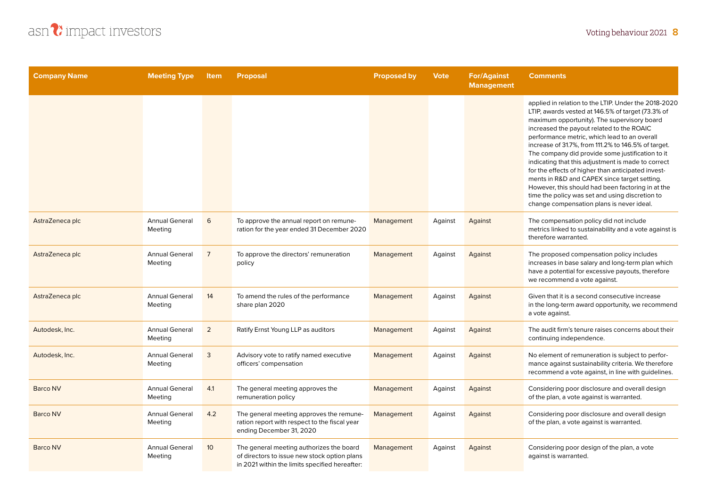

| <b>Company Name</b> | <b>Meeting Type</b>              | Item            | <b>Proposal</b>                                                                                                                            | <b>Proposed by</b> | <b>Vote</b> | <b>For/Against</b><br><b>Management</b> | <b>Comments</b>                                                                                                                                                                                                                                                                                                                                                                                                                                                                                                                                                                                                                                                                   |
|---------------------|----------------------------------|-----------------|--------------------------------------------------------------------------------------------------------------------------------------------|--------------------|-------------|-----------------------------------------|-----------------------------------------------------------------------------------------------------------------------------------------------------------------------------------------------------------------------------------------------------------------------------------------------------------------------------------------------------------------------------------------------------------------------------------------------------------------------------------------------------------------------------------------------------------------------------------------------------------------------------------------------------------------------------------|
|                     |                                  |                 |                                                                                                                                            |                    |             |                                         | applied in relation to the LTIP. Under the 2018-2020<br>LTIP, awards vested at 146.5% of target (73.3% of<br>maximum opportunity). The supervisory board<br>increased the payout related to the ROAIC<br>performance metric, which lead to an overall<br>increase of 31.7%, from 111.2% to 146.5% of target.<br>The company did provide some justification to it<br>indicating that this adjustment is made to correct<br>for the effects of higher than anticipated invest-<br>ments in R&D and CAPEX since target setting.<br>However, this should had been factoring in at the<br>time the policy was set and using discretion to<br>change compensation plans is never ideal. |
| AstraZeneca plc     | <b>Annual General</b><br>Meeting | 6               | To approve the annual report on remune-<br>ration for the year ended 31 December 2020                                                      | Management         | Against     | Against                                 | The compensation policy did not include<br>metrics linked to sustainability and a vote against is<br>therefore warranted.                                                                                                                                                                                                                                                                                                                                                                                                                                                                                                                                                         |
| AstraZeneca plc     | <b>Annual General</b><br>Meeting | $\overline{7}$  | To approve the directors' remuneration<br>policy                                                                                           | Management         | Against     | Against                                 | The proposed compensation policy includes<br>increases in base salary and long-term plan which<br>have a potential for excessive payouts, therefore<br>we recommend a vote against.                                                                                                                                                                                                                                                                                                                                                                                                                                                                                               |
| AstraZeneca plc     | <b>Annual General</b><br>Meeting | 14              | To amend the rules of the performance<br>share plan 2020                                                                                   | Management         | Against     | Against                                 | Given that it is a second consecutive increase<br>in the long-term award opportunity, we recommend<br>a vote against.                                                                                                                                                                                                                                                                                                                                                                                                                                                                                                                                                             |
| Autodesk, Inc.      | <b>Annual General</b><br>Meeting | $\overline{2}$  | Ratify Ernst Young LLP as auditors                                                                                                         | Management         | Against     | Against                                 | The audit firm's tenure raises concerns about their<br>continuing independence.                                                                                                                                                                                                                                                                                                                                                                                                                                                                                                                                                                                                   |
| Autodesk, Inc.      | <b>Annual General</b><br>Meeting | 3               | Advisory vote to ratify named executive<br>officers' compensation                                                                          | Management         | Against     | Against                                 | No element of remuneration is subject to perfor-<br>mance against sustainability criteria. We therefore<br>recommend a vote against, in line with guidelines.                                                                                                                                                                                                                                                                                                                                                                                                                                                                                                                     |
| <b>Barco NV</b>     | <b>Annual General</b><br>Meeting | 4.1             | The general meeting approves the<br>remuneration policy                                                                                    | Management         | Against     | Against                                 | Considering poor disclosure and overall design<br>of the plan, a vote against is warranted.                                                                                                                                                                                                                                                                                                                                                                                                                                                                                                                                                                                       |
| <b>Barco NV</b>     | <b>Annual General</b><br>Meeting | 4.2             | The general meeting approves the remune-<br>ration report with respect to the fiscal year<br>ending December 31, 2020                      | Management         | Against     | Against                                 | Considering poor disclosure and overall design<br>of the plan, a vote against is warranted.                                                                                                                                                                                                                                                                                                                                                                                                                                                                                                                                                                                       |
| <b>Barco NV</b>     | <b>Annual General</b><br>Meeting | 10 <sup>°</sup> | The general meeting authorizes the board<br>of directors to issue new stock option plans<br>in 2021 within the limits specified hereafter: | Management         | Against     | Against                                 | Considering poor design of the plan, a vote<br>against is warranted.                                                                                                                                                                                                                                                                                                                                                                                                                                                                                                                                                                                                              |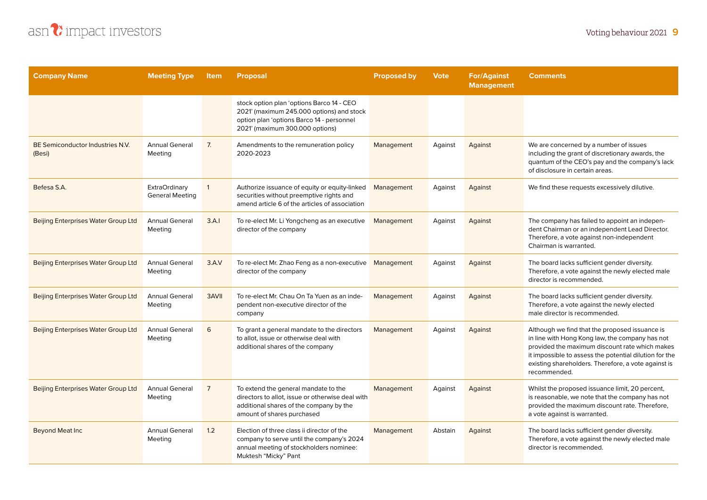



| <b>Company Name</b>                        | <b>Meeting Type</b>                            | <b>Item</b>    | <b>Proposal</b>                                                                                                                                                        | <b>Proposed by</b> | <b>Vote</b> | <b>For/Against</b><br><b>Management</b> | <b>Comments</b>                                                                                                                                                                                                                                                                      |
|--------------------------------------------|------------------------------------------------|----------------|------------------------------------------------------------------------------------------------------------------------------------------------------------------------|--------------------|-------------|-----------------------------------------|--------------------------------------------------------------------------------------------------------------------------------------------------------------------------------------------------------------------------------------------------------------------------------------|
|                                            |                                                |                | stock option plan 'options Barco 14 - CEO<br>2021' (maximum 245.000 options) and stock<br>option plan 'options Barco 14 - personnel<br>2021' (maximum 300.000 options) |                    |             |                                         |                                                                                                                                                                                                                                                                                      |
| BE Semiconductor Industries N.V.<br>(Besi) | <b>Annual General</b><br>Meeting               | 7.             | Amendments to the remuneration policy<br>2020-2023                                                                                                                     | Management         | Against     | Against                                 | We are concerned by a number of issues<br>including the grant of discretionary awards, the<br>quantum of the CEO's pay and the company's lack<br>of disclosure in certain areas.                                                                                                     |
| Befesa S.A.                                | <b>ExtraOrdinary</b><br><b>General Meeting</b> | $\mathbf{1}$   | Authorize issuance of equity or equity-linked<br>securities without preemptive rights and<br>amend article 6 of the articles of association                            | Management         | Against     | Against                                 | We find these requests excessively dilutive.                                                                                                                                                                                                                                         |
| <b>Beijing Enterprises Water Group Ltd</b> | <b>Annual General</b><br>Meeting               | 3.A.1          | To re-elect Mr. Li Yongcheng as an executive<br>director of the company                                                                                                | Management         | Against     | Against                                 | The company has failed to appoint an indepen-<br>dent Chairman or an independent Lead Director.<br>Therefore, a vote against non-independent<br>Chairman is warranted.                                                                                                               |
| <b>Beijing Enterprises Water Group Ltd</b> | <b>Annual General</b><br>Meeting               | 3.A.V          | To re-elect Mr. Zhao Feng as a non-executive<br>director of the company                                                                                                | Management         | Against     | Against                                 | The board lacks sufficient gender diversity.<br>Therefore, a vote against the newly elected male<br>director is recommended.                                                                                                                                                         |
| <b>Beijing Enterprises Water Group Ltd</b> | <b>Annual General</b><br>Meeting               | 3AVII          | To re-elect Mr. Chau On Ta Yuen as an inde-<br>pendent non-executive director of the<br>company                                                                        | Management         | Against     | Against                                 | The board lacks sufficient gender diversity.<br>Therefore, a vote against the newly elected<br>male director is recommended.                                                                                                                                                         |
| <b>Beijing Enterprises Water Group Ltd</b> | <b>Annual General</b><br>Meeting               | 6              | To grant a general mandate to the directors<br>to allot, issue or otherwise deal with<br>additional shares of the company                                              | Management         | Against     | Against                                 | Although we find that the proposed issuance is<br>in line with Hong Kong law, the company has not<br>provided the maximum discount rate which makes<br>it impossible to assess the potential dilution for the<br>existing shareholders. Therefore, a vote against is<br>recommended. |
| <b>Beijing Enterprises Water Group Ltd</b> | <b>Annual General</b><br>Meeting               | $\overline{7}$ | To extend the general mandate to the<br>directors to allot, issue or otherwise deal with<br>additional shares of the company by the<br>amount of shares purchased      | Management         | Against     | Against                                 | Whilst the proposed issuance limit, 20 percent,<br>is reasonable, we note that the company has not<br>provided the maximum discount rate. Therefore,<br>a vote against is warranted.                                                                                                 |
| <b>Beyond Meat Inc</b>                     | <b>Annual General</b><br>Meeting               | 1.2            | Election of three class ii director of the<br>company to serve until the company's 2024<br>annual meeting of stockholders nominee:<br>Muktesh "Micky" Pant             | Management         | Abstain     | Against                                 | The board lacks sufficient gender diversity.<br>Therefore, a vote against the newly elected male<br>director is recommended.                                                                                                                                                         |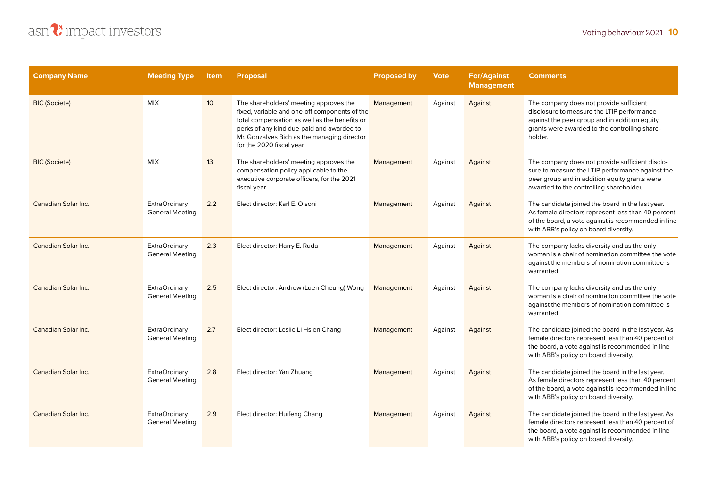

| <b>Company Name</b>  | <b>Meeting Type</b>                            | <b>Item</b>     | <b>Proposal</b>                                                                                                                                                                                                                                                   | <b>Proposed by</b> | Vote    | <b>For/Against</b><br><b>Management</b> | <b>Comments</b>                                                                                                                                                                                        |
|----------------------|------------------------------------------------|-----------------|-------------------------------------------------------------------------------------------------------------------------------------------------------------------------------------------------------------------------------------------------------------------|--------------------|---------|-----------------------------------------|--------------------------------------------------------------------------------------------------------------------------------------------------------------------------------------------------------|
| <b>BIC</b> (Societe) | <b>MIX</b>                                     | 10 <sup>°</sup> | The shareholders' meeting approves the<br>fixed, variable and one-off components of the<br>total compensation as well as the benefits or<br>perks of any kind due-paid and awarded to<br>Mr. Gonzalves Bich as the managing director<br>for the 2020 fiscal year. | Management         | Against | Against                                 | The company does not provide sufficient<br>disclosure to measure the LTIP performance<br>against the peer group and in addition equity<br>grants were awarded to the controlling share-<br>holder.     |
| <b>BIC (Societe)</b> | <b>MIX</b>                                     | 13              | The shareholders' meeting approves the<br>compensation policy applicable to the<br>executive corporate officers, for the 2021<br>fiscal year                                                                                                                      | Management         | Against | Against                                 | The company does not provide sufficient disclo-<br>sure to measure the LTIP performance against the<br>peer group and in addition equity grants were<br>awarded to the controlling shareholder.        |
| Canadian Solar Inc.  | <b>ExtraOrdinary</b><br><b>General Meeting</b> | 2.2             | Elect director: Karl E. Olsoni                                                                                                                                                                                                                                    | Management         | Against | Against                                 | The candidate joined the board in the last year.<br>As female directors represent less than 40 percent<br>of the board, a vote against is recommended in line<br>with ABB's policy on board diversity. |
| Canadian Solar Inc.  | <b>ExtraOrdinary</b><br><b>General Meeting</b> | 2.3             | Elect director: Harry E. Ruda                                                                                                                                                                                                                                     | Management         | Against | Against                                 | The company lacks diversity and as the only<br>woman is a chair of nomination committee the vote<br>against the members of nomination committee is<br>warranted.                                       |
| Canadian Solar Inc.  | <b>ExtraOrdinary</b><br><b>General Meeting</b> | 2.5             | Elect director: Andrew (Luen Cheung) Wong                                                                                                                                                                                                                         | Management         | Against | Against                                 | The company lacks diversity and as the only<br>woman is a chair of nomination committee the vote<br>against the members of nomination committee is<br>warranted.                                       |
| Canadian Solar Inc.  | <b>ExtraOrdinary</b><br><b>General Meeting</b> | 2.7             | Elect director: Leslie Li Hsien Chang                                                                                                                                                                                                                             | Management         | Against | Against                                 | The candidate joined the board in the last year. As<br>female directors represent less than 40 percent of<br>the board, a vote against is recommended in line<br>with ABB's policy on board diversity. |
| Canadian Solar Inc.  | <b>ExtraOrdinary</b><br><b>General Meeting</b> | 2.8             | Elect director: Yan Zhuang                                                                                                                                                                                                                                        | Management         | Against | Against                                 | The candidate joined the board in the last year.<br>As female directors represent less than 40 percent<br>of the board, a vote against is recommended in line<br>with ABB's policy on board diversity. |
| Canadian Solar Inc.  | <b>ExtraOrdinary</b><br><b>General Meeting</b> | 2.9             | Elect director: Huifeng Chang                                                                                                                                                                                                                                     | Management         | Against | Against                                 | The candidate joined the board in the last year. As<br>female directors represent less than 40 percent of<br>the board, a vote against is recommended in line<br>with ABB's policy on board diversity. |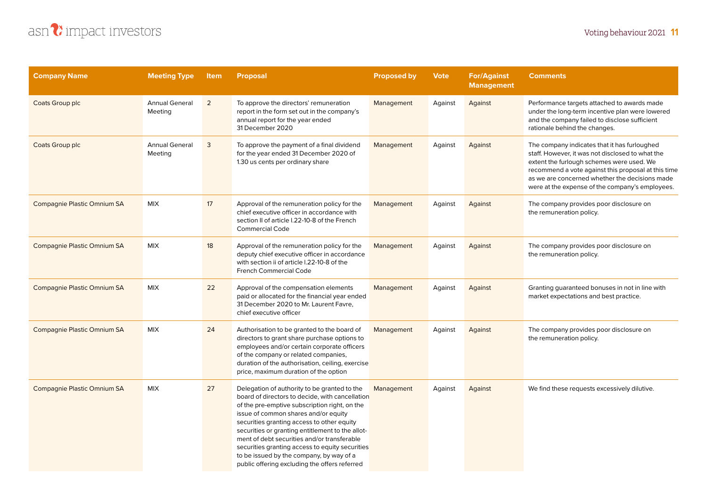

| <b>Company Name</b>                | <b>Meeting Type</b>              | <b>Item</b> | <b>Proposal</b>                                                                                                                                                                                                                                                                                                                                                                                                                                                                           | <b>Proposed by</b> | <b>Vote</b> | <b>For/Against</b><br><b>Management</b> | <b>Comments</b>                                                                                                                                                                                                                                                                                           |
|------------------------------------|----------------------------------|-------------|-------------------------------------------------------------------------------------------------------------------------------------------------------------------------------------------------------------------------------------------------------------------------------------------------------------------------------------------------------------------------------------------------------------------------------------------------------------------------------------------|--------------------|-------------|-----------------------------------------|-----------------------------------------------------------------------------------------------------------------------------------------------------------------------------------------------------------------------------------------------------------------------------------------------------------|
| Coats Group plc                    | <b>Annual General</b><br>Meeting | 2           | To approve the directors' remuneration<br>report in the form set out in the company's<br>annual report for the year ended<br>31 December 2020                                                                                                                                                                                                                                                                                                                                             | Management         | Against     | Against                                 | Performance targets attached to awards made<br>under the long-term incentive plan were lowered<br>and the company failed to disclose sufficient<br>rationale behind the changes.                                                                                                                          |
| Coats Group plc                    | <b>Annual General</b><br>Meeting | 3           | To approve the payment of a final dividend<br>for the year ended 31 December 2020 of<br>1.30 us cents per ordinary share                                                                                                                                                                                                                                                                                                                                                                  | Management         | Against     | Against                                 | The company indicates that it has furloughed<br>staff. However, it was not disclosed to what the<br>extent the furlough schemes were used. We<br>recommend a vote against this proposal at this time<br>as we are concerned whether the decisions made<br>were at the expense of the company's employees. |
| Compagnie Plastic Omnium SA        | <b>MIX</b>                       | 17          | Approval of the remuneration policy for the<br>chief executive officer in accordance with<br>section II of article I.22-10-8 of the French<br><b>Commercial Code</b>                                                                                                                                                                                                                                                                                                                      | Management         | Against     | Against                                 | The company provides poor disclosure on<br>the remuneration policy.                                                                                                                                                                                                                                       |
| Compagnie Plastic Omnium SA        | <b>MIX</b>                       | 18          | Approval of the remuneration policy for the<br>deputy chief executive officer in accordance<br>with section ii of article 1.22-10-8 of the<br><b>French Commercial Code</b>                                                                                                                                                                                                                                                                                                               | Management         | Against     | Against                                 | The company provides poor disclosure on<br>the remuneration policy.                                                                                                                                                                                                                                       |
| Compagnie Plastic Omnium SA        | <b>MIX</b>                       | 22          | Approval of the compensation elements<br>paid or allocated for the financial year ended<br>31 December 2020 to Mr. Laurent Favre,<br>chief executive officer                                                                                                                                                                                                                                                                                                                              | Management         | Against     | Against                                 | Granting guaranteed bonuses in not in line with<br>market expectations and best practice.                                                                                                                                                                                                                 |
| Compagnie Plastic Omnium SA        | <b>MIX</b>                       | 24          | Authorisation to be granted to the board of<br>directors to grant share purchase options to<br>employees and/or certain corporate officers<br>of the company or related companies,<br>duration of the authorisation, ceiling, exercise<br>price, maximum duration of the option                                                                                                                                                                                                           | Management         | Against     | Against                                 | The company provides poor disclosure on<br>the remuneration policy.                                                                                                                                                                                                                                       |
| <b>Compagnie Plastic Omnium SA</b> | <b>MIX</b>                       | 27          | Delegation of authority to be granted to the<br>board of directors to decide, with cancellation<br>of the pre-emptive subscription right, on the<br>issue of common shares and/or equity<br>securities granting access to other equity<br>securities or granting entitlement to the allot-<br>ment of debt securities and/or transferable<br>securities granting access to equity securities<br>to be issued by the company, by way of a<br>public offering excluding the offers referred | Management         | Against     | Against                                 | We find these requests excessively dilutive.                                                                                                                                                                                                                                                              |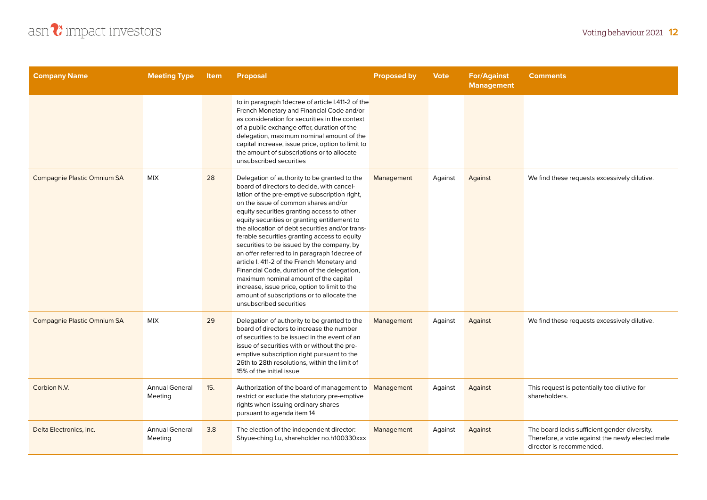

| <b>Company Name</b>         | <b>Meeting Type</b>              | <b>Item</b> | <b>Proposal</b>                                                                                                                                                                                                                                                                                                                                                                                                                                                                                                                                                                                                                                                                                                                                     | <b>Proposed by</b> | <b>Vote</b> | <b>For/Against</b><br><b>Management</b> | <b>Comments</b>                                                                                                              |
|-----------------------------|----------------------------------|-------------|-----------------------------------------------------------------------------------------------------------------------------------------------------------------------------------------------------------------------------------------------------------------------------------------------------------------------------------------------------------------------------------------------------------------------------------------------------------------------------------------------------------------------------------------------------------------------------------------------------------------------------------------------------------------------------------------------------------------------------------------------------|--------------------|-------------|-----------------------------------------|------------------------------------------------------------------------------------------------------------------------------|
|                             |                                  |             | to in paragraph 1decree of article I.411-2 of the<br>French Monetary and Financial Code and/or<br>as consideration for securities in the context<br>of a public exchange offer, duration of the<br>delegation, maximum nominal amount of the<br>capital increase, issue price, option to limit to<br>the amount of subscriptions or to allocate<br>unsubscribed securities                                                                                                                                                                                                                                                                                                                                                                          |                    |             |                                         |                                                                                                                              |
| Compagnie Plastic Omnium SA | <b>MIX</b>                       | 28          | Delegation of authority to be granted to the<br>board of directors to decide, with cancel-<br>lation of the pre-emptive subscription right,<br>on the issue of common shares and/or<br>equity securities granting access to other<br>equity securities or granting entitlement to<br>the allocation of debt securities and/or trans-<br>ferable securities granting access to equity<br>securities to be issued by the company, by<br>an offer referred to in paragraph 1decree of<br>article I. 411-2 of the French Monetary and<br>Financial Code, duration of the delegation,<br>maximum nominal amount of the capital<br>increase, issue price, option to limit to the<br>amount of subscriptions or to allocate the<br>unsubscribed securities | Management         | Against     | Against                                 | We find these requests excessively dilutive.                                                                                 |
| Compagnie Plastic Omnium SA | <b>MIX</b>                       | 29          | Delegation of authority to be granted to the<br>board of directors to increase the number<br>of securities to be issued in the event of an<br>issue of securities with or without the pre-<br>emptive subscription right pursuant to the<br>26th to 28th resolutions, within the limit of<br>15% of the initial issue                                                                                                                                                                                                                                                                                                                                                                                                                               | Management         | Against     | Against                                 | We find these requests excessively dilutive.                                                                                 |
| Corbion N.V.                | <b>Annual General</b><br>Meeting | 15.         | Authorization of the board of management to<br>restrict or exclude the statutory pre-emptive<br>rights when issuing ordinary shares<br>pursuant to agenda item 14                                                                                                                                                                                                                                                                                                                                                                                                                                                                                                                                                                                   | Management         | Against     | Against                                 | This request is potentially too dilutive for<br>shareholders.                                                                |
| Delta Electronics, Inc.     | <b>Annual General</b><br>Meeting | 3.8         | The election of the independent director:<br>Shyue-ching Lu, shareholder no.h100330xxx                                                                                                                                                                                                                                                                                                                                                                                                                                                                                                                                                                                                                                                              | Management         | Against     | Against                                 | The board lacks sufficient gender diversity.<br>Therefore, a vote against the newly elected male<br>director is recommended. |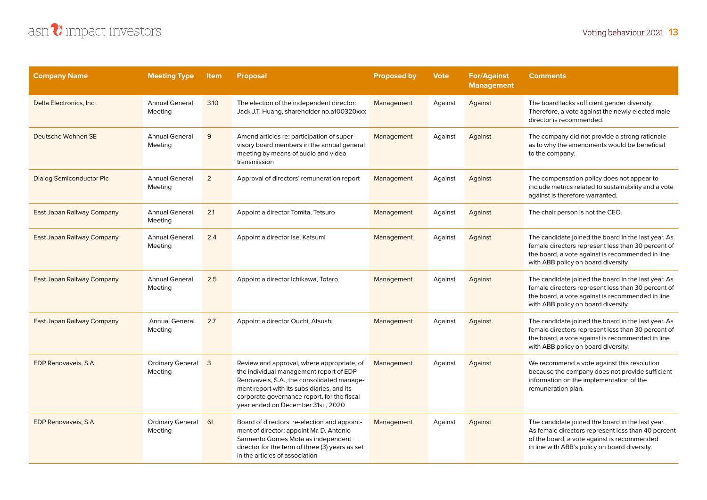

| <b>Company Name</b>             | <b>Meeting Type</b>                | <b>Item</b>    | <b>Proposal</b>                                                                                                                                                                                                                                                       | <b>Proposed by</b> | <b>Vote</b> | <b>For/Against</b><br><b>Management</b> | <b>Comments</b>                                                                                                                                                                                        |
|---------------------------------|------------------------------------|----------------|-----------------------------------------------------------------------------------------------------------------------------------------------------------------------------------------------------------------------------------------------------------------------|--------------------|-------------|-----------------------------------------|--------------------------------------------------------------------------------------------------------------------------------------------------------------------------------------------------------|
| Delta Electronics, Inc.         | <b>Annual General</b><br>Meeting   | 3.10           | The election of the independent director:<br>Jack J.T. Huang, shareholder no.a100320xxx                                                                                                                                                                               | Management         | Against     | Against                                 | The board lacks sufficient gender diversity.<br>Therefore, a vote against the newly elected male<br>director is recommended.                                                                           |
| Deutsche Wohnen SE              | <b>Annual General</b><br>Meeting   | 9              | Amend articles re: participation of super-<br>visory board members in the annual general<br>meeting by means of audio and video<br>transmission                                                                                                                       | Management         | Against     | Against                                 | The company did not provide a strong rationale<br>as to why the amendments would be beneficial<br>to the company.                                                                                      |
| <b>Dialog Semiconductor Plc</b> | <b>Annual General</b><br>Meeting   | $\overline{2}$ | Approval of directors' remuneration report                                                                                                                                                                                                                            | Management         | Against     | Against                                 | The compensation policy does not appear to<br>include metrics related to sustainability and a vote<br>against is therefore warranted.                                                                  |
| East Japan Railway Company      | <b>Annual General</b><br>Meeting   | 2.1            | Appoint a director Tomita, Tetsuro                                                                                                                                                                                                                                    | Management         | Against     | Against                                 | The chair person is not the CEO.                                                                                                                                                                       |
| East Japan Railway Company      | <b>Annual General</b><br>Meeting   | 2.4            | Appoint a director Ise, Katsumi                                                                                                                                                                                                                                       | Management         | Against     | Against                                 | The candidate joined the board in the last year. As<br>female directors represent less than 30 percent of<br>the board, a vote against is recommended in line<br>with ABB policy on board diversity.   |
| East Japan Railway Company      | <b>Annual General</b><br>Meeting   | 2.5            | Appoint a director Ichikawa, Totaro                                                                                                                                                                                                                                   | Management         | Against     | Against                                 | The candidate joined the board in the last year. As<br>female directors represent less than 30 percent of<br>the board, a vote against is recommended in line<br>with ABB policy on board diversity.   |
| East Japan Railway Company      | <b>Annual General</b><br>Meeting   | 2.7            | Appoint a director Ouchi, Atsushi                                                                                                                                                                                                                                     | Management         | Against     | Against                                 | The candidate joined the board in the last year. As<br>female directors represent less than 30 percent of<br>the board, a vote against is recommended in line<br>with ABB policy on board diversity.   |
| EDP Renovaveis, S.A.            | <b>Ordinary General</b><br>Meeting | 3              | Review and approval, where appropriate, of<br>the individual management report of EDP<br>Renovaveis, S.A., the consolidated manage-<br>ment report with its subsidiaries, and its<br>corporate governance report, for the fiscal<br>year ended on December 31st, 2020 | Management         | Against     | Against                                 | We recommend a vote against this resolution<br>because the company does not provide sufficient<br>information on the implementation of the<br>remuneration plan.                                       |
| EDP Renovaveis, S.A.            | <b>Ordinary General</b><br>Meeting | 61             | Board of directors: re-election and appoint-<br>ment of director: appoint Mr. D. Antonio<br>Sarmento Gomes Mota as independent<br>director for the term of three (3) years as set<br>in the articles of association                                                   | Management         | Against     | Against                                 | The candidate joined the board in the last year.<br>As female directors represent less than 40 percent<br>of the board, a vote against is recommended<br>in line with ABB's policy on board diversity. |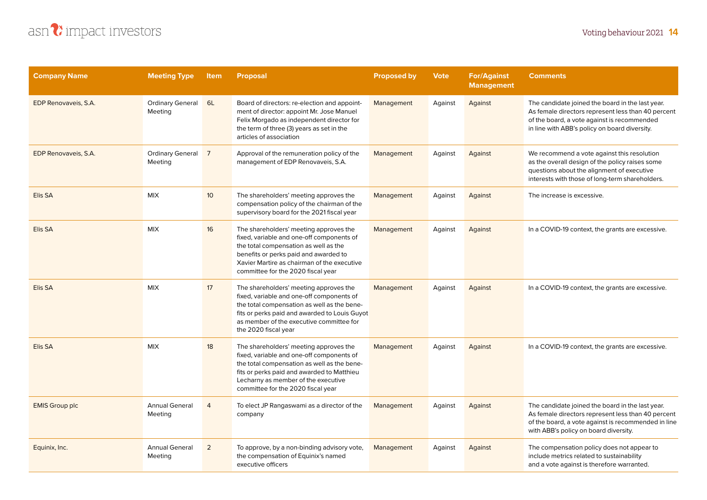

| <b>Company Name</b>   | <b>Meeting Type</b>                | <b>Item</b>     | <b>Proposal</b>                                                                                                                                                                                                                                               | <b>Proposed by</b> | <b>Vote</b> | <b>For/Against</b><br><b>Management</b> | <b>Comments</b>                                                                                                                                                                                        |
|-----------------------|------------------------------------|-----------------|---------------------------------------------------------------------------------------------------------------------------------------------------------------------------------------------------------------------------------------------------------------|--------------------|-------------|-----------------------------------------|--------------------------------------------------------------------------------------------------------------------------------------------------------------------------------------------------------|
| EDP Renovaveis, S.A.  | <b>Ordinary General</b><br>Meeting | 6L              | Board of directors: re-election and appoint-<br>ment of director: appoint Mr. Jose Manuel<br>Felix Morgado as independent director for<br>the term of three (3) years as set in the<br>articles of association                                                | Management         | Against     | Against                                 | The candidate joined the board in the last year.<br>As female directors represent less than 40 percent<br>of the board, a vote against is recommended<br>in line with ABB's policy on board diversity. |
| EDP Renovaveis, S.A.  | Ordinary General 7<br>Meeting      |                 | Approval of the remuneration policy of the<br>management of EDP Renovaveis, S.A.                                                                                                                                                                              | Management         | Against     | Against                                 | We recommend a vote against this resolution<br>as the overall design of the policy raises some<br>questions about the alignment of executive<br>interests with those of long-term shareholders.        |
| Elis SA               | <b>MIX</b>                         | 10 <sup>°</sup> | The shareholders' meeting approves the<br>compensation policy of the chairman of the<br>supervisory board for the 2021 fiscal year                                                                                                                            | Management         | Against     | Against                                 | The increase is excessive.                                                                                                                                                                             |
| Elis SA               | <b>MIX</b>                         | 16              | The shareholders' meeting approves the<br>fixed, variable and one-off components of<br>the total compensation as well as the<br>benefits or perks paid and awarded to<br>Xavier Martire as chairman of the executive<br>committee for the 2020 fiscal year    | Management         | Against     | Against                                 | In a COVID-19 context, the grants are excessive.                                                                                                                                                       |
| Elis SA               | <b>MIX</b>                         | 17              | The shareholders' meeting approves the<br>fixed, variable and one-off components of<br>the total compensation as well as the bene-<br>fits or perks paid and awarded to Louis Guyot<br>as member of the executive committee for<br>the 2020 fiscal year       | Management         | Against     | Against                                 | In a COVID-19 context, the grants are excessive.                                                                                                                                                       |
| Elis SA               | <b>MIX</b>                         | 18              | The shareholders' meeting approves the<br>fixed, variable and one-off components of<br>the total compensation as well as the bene-<br>fits or perks paid and awarded to Matthieu<br>Lecharny as member of the executive<br>committee for the 2020 fiscal year | Management         | Against     | Against                                 | In a COVID-19 context, the grants are excessive.                                                                                                                                                       |
| <b>EMIS Group plc</b> | <b>Annual General</b><br>Meeting   | $\overline{4}$  | To elect JP Rangaswami as a director of the<br>company                                                                                                                                                                                                        | Management         | Against     | Against                                 | The candidate joined the board in the last year.<br>As female directors represent less than 40 percent<br>of the board, a vote against is recommended in line<br>with ABB's policy on board diversity. |
| Equinix, Inc.         | <b>Annual General</b><br>Meeting   | 2               | To approve, by a non-binding advisory vote,<br>the compensation of Equinix's named<br>executive officers                                                                                                                                                      | Management         | Against     | Against                                 | The compensation policy does not appear to<br>include metrics related to sustainability<br>and a vote against is therefore warranted.                                                                  |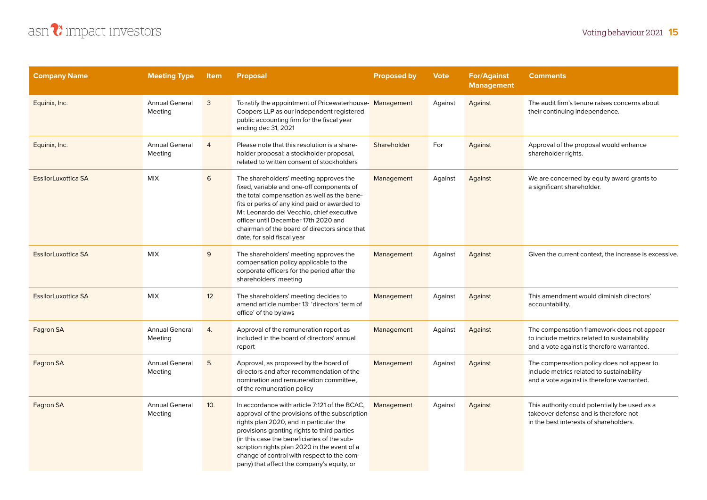

| <b>Company Name</b>        | <b>Meeting Type</b>              | Item           | <b>Proposal</b>                                                                                                                                                                                                                                                                                                                                                                      | <b>Proposed by</b> | <b>Vote</b> | <b>For/Against</b><br><b>Management</b> | <b>Comments</b>                                                                                                                          |
|----------------------------|----------------------------------|----------------|--------------------------------------------------------------------------------------------------------------------------------------------------------------------------------------------------------------------------------------------------------------------------------------------------------------------------------------------------------------------------------------|--------------------|-------------|-----------------------------------------|------------------------------------------------------------------------------------------------------------------------------------------|
| Equinix, Inc.              | <b>Annual General</b><br>Meeting | 3              | To ratify the appointment of Pricewaterhouse-Management<br>Coopers LLP as our independent registered<br>public accounting firm for the fiscal year<br>ending dec 31, 2021                                                                                                                                                                                                            |                    | Against     | Against                                 | The audit firm's tenure raises concerns about<br>their continuing independence.                                                          |
| Equinix, Inc.              | <b>Annual General</b><br>Meeting | $\overline{4}$ | Please note that this resolution is a share-<br>holder proposal: a stockholder proposal,<br>related to written consent of stockholders                                                                                                                                                                                                                                               | Shareholder        | For         | Against                                 | Approval of the proposal would enhance<br>shareholder rights.                                                                            |
| <b>EssilorLuxottica SA</b> | <b>MIX</b>                       | 6              | The shareholders' meeting approves the<br>fixed, variable and one-off components of<br>the total compensation as well as the bene-<br>fits or perks of any kind paid or awarded to<br>Mr. Leonardo del Vecchio, chief executive<br>officer until December 17th 2020 and<br>chairman of the board of directors since that<br>date, for said fiscal year                               | Management         | Against     | Against                                 | We are concerned by equity award grants to<br>a significant shareholder.                                                                 |
| <b>EssilorLuxottica SA</b> | <b>MIX</b>                       | 9              | The shareholders' meeting approves the<br>compensation policy applicable to the<br>corporate officers for the period after the<br>shareholders' meeting                                                                                                                                                                                                                              | Management         | Against     | Against                                 | Given the current context, the increase is excessive.                                                                                    |
| <b>EssilorLuxottica SA</b> | <b>MIX</b>                       | 12             | The shareholders' meeting decides to<br>amend article number 13: 'directors' term of<br>office' of the bylaws                                                                                                                                                                                                                                                                        | Management         | Against     | Against                                 | This amendment would diminish directors'<br>accountability.                                                                              |
| Fagron SA                  | <b>Annual General</b><br>Meeting | 4.             | Approval of the remuneration report as<br>included in the board of directors' annual<br>report                                                                                                                                                                                                                                                                                       | Management         | Against     | Against                                 | The compensation framework does not appear<br>to include metrics related to sustainability<br>and a vote against is therefore warranted. |
| Fagron SA                  | <b>Annual General</b><br>Meeting | 5.             | Approval, as proposed by the board of<br>directors and after recommendation of the<br>nomination and remuneration committee,<br>of the remuneration policy                                                                                                                                                                                                                           | Management         | Against     | Against                                 | The compensation policy does not appear to<br>include metrics related to sustainability<br>and a vote against is therefore warranted.    |
| Fagron SA                  | <b>Annual General</b><br>Meeting | 10.            | In accordance with article 7:121 of the BCAC,<br>approval of the provisions of the subscription<br>rights plan 2020, and in particular the<br>provisions granting rights to third parties<br>(in this case the beneficiaries of the sub-<br>scription rights plan 2020 in the event of a<br>change of control with respect to the com-<br>pany) that affect the company's equity, or | Management         | Against     | Against                                 | This authority could potentially be used as a<br>takeover defense and is therefore not<br>in the best interests of shareholders.         |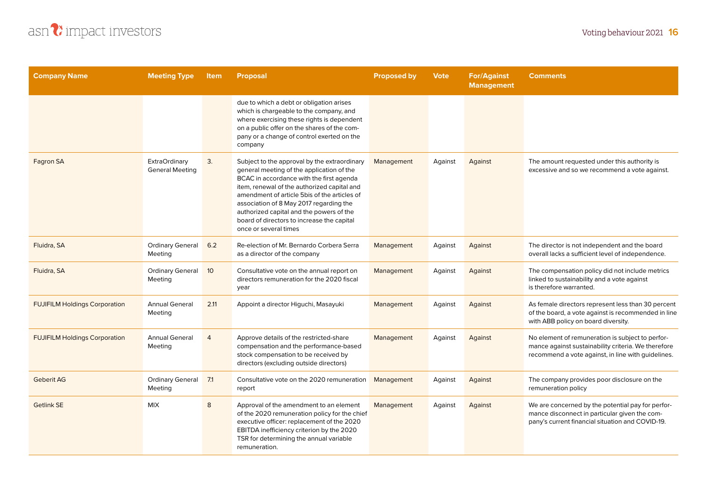

| <b>Company Name</b>                  | <b>Meeting Type</b>                            | <b>Item</b>    | <b>Proposal</b>                                                                                                                                                                                                                                                                                                                                                                                    | <b>Proposed by</b> | <b>Vote</b> | <b>For/Against</b><br><b>Management</b> | <b>Comments</b>                                                                                                                                               |
|--------------------------------------|------------------------------------------------|----------------|----------------------------------------------------------------------------------------------------------------------------------------------------------------------------------------------------------------------------------------------------------------------------------------------------------------------------------------------------------------------------------------------------|--------------------|-------------|-----------------------------------------|---------------------------------------------------------------------------------------------------------------------------------------------------------------|
|                                      |                                                |                | due to which a debt or obligation arises<br>which is chargeable to the company, and<br>where exercising these rights is dependent<br>on a public offer on the shares of the com-<br>pany or a change of control exerted on the<br>company                                                                                                                                                          |                    |             |                                         |                                                                                                                                                               |
| Fagron SA                            | <b>ExtraOrdinary</b><br><b>General Meeting</b> | 3.             | Subject to the approval by the extraordinary<br>general meeting of the application of the<br>BCAC in accordance with the first agenda<br>item, renewal of the authorized capital and<br>amendment of article 5bis of the articles of<br>association of 8 May 2017 regarding the<br>authorized capital and the powers of the<br>board of directors to increase the capital<br>once or several times | Management         | Against     | Against                                 | The amount requested under this authority is<br>excessive and so we recommend a vote against.                                                                 |
| Fluidra, SA                          | <b>Ordinary General</b><br>Meeting             | 6.2            | Re-election of Mr. Bernardo Corbera Serra<br>as a director of the company                                                                                                                                                                                                                                                                                                                          | Management         | Against     | Against                                 | The director is not independent and the board<br>overall lacks a sufficient level of independence.                                                            |
| Fluidra, SA                          | <b>Ordinary General</b><br>Meeting             | 10             | Consultative vote on the annual report on<br>directors remuneration for the 2020 fiscal<br>year                                                                                                                                                                                                                                                                                                    | Management         | Against     | Against                                 | The compensation policy did not include metrics<br>linked to sustainability and a vote against<br>is therefore warranted.                                     |
| <b>FUJIFILM Holdings Corporation</b> | <b>Annual General</b><br>Meeting               | 2.11           | Appoint a director Higuchi, Masayuki                                                                                                                                                                                                                                                                                                                                                               | Management         | Against     | Against                                 | As female directors represent less than 30 percent<br>of the board, a vote against is recommended in line<br>with ABB policy on board diversity.              |
| <b>FUJIFILM Holdings Corporation</b> | <b>Annual General</b><br>Meeting               | $\overline{4}$ | Approve details of the restricted-share<br>compensation and the performance-based<br>stock compensation to be received by<br>directors (excluding outside directors)                                                                                                                                                                                                                               | Management         | Against     | Against                                 | No element of remuneration is subject to perfor-<br>mance against sustainability criteria. We therefore<br>recommend a vote against, in line with quidelines. |
| <b>Geberit AG</b>                    | <b>Ordinary General</b><br>Meeting             | 7.1            | Consultative vote on the 2020 remuneration<br>report                                                                                                                                                                                                                                                                                                                                               | Management         | Against     | Against                                 | The company provides poor disclosure on the<br>remuneration policy                                                                                            |
| <b>Getlink SE</b>                    | <b>MIX</b>                                     | 8              | Approval of the amendment to an element<br>of the 2020 remuneration policy for the chief<br>executive officer: replacement of the 2020<br>EBITDA inefficiency criterion by the 2020<br>TSR for determining the annual variable<br>remuneration.                                                                                                                                                    | Management         | Against     | Against                                 | We are concerned by the potential pay for perfor-<br>mance disconnect in particular given the com-<br>pany's current financial situation and COVID-19.        |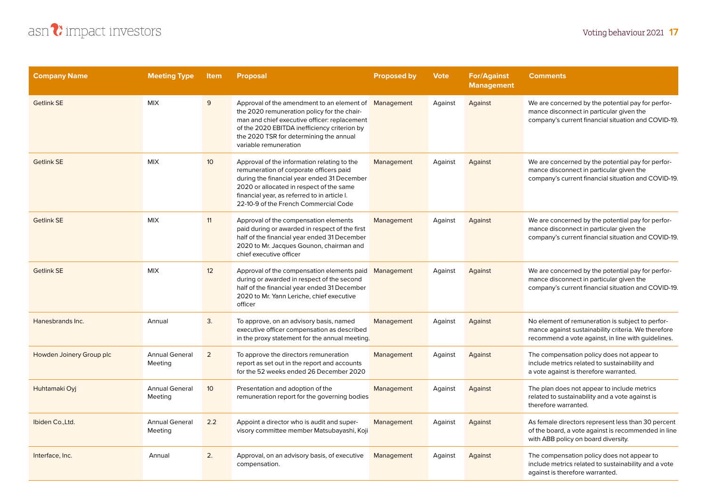

| <b>Company Name</b>      | <b>Meeting Type</b>              | <b>Item</b>     | <b>Proposal</b>                                                                                                                                                                                                                                                            | <b>Proposed by</b> | <b>Vote</b> | <b>For/Against</b><br><b>Management</b> | <b>Comments</b>                                                                                                                                               |
|--------------------------|----------------------------------|-----------------|----------------------------------------------------------------------------------------------------------------------------------------------------------------------------------------------------------------------------------------------------------------------------|--------------------|-------------|-----------------------------------------|---------------------------------------------------------------------------------------------------------------------------------------------------------------|
| <b>Getlink SE</b>        | <b>MIX</b>                       | 9               | Approval of the amendment to an element of<br>the 2020 remuneration policy for the chair-<br>man and chief executive officer: replacement<br>of the 2020 EBITDA inefficiency criterion by<br>the 2020 TSR for determining the annual<br>variable remuneration              | Management         | Against     | Against                                 | We are concerned by the potential pay for perfor-<br>mance disconnect in particular given the<br>company's current financial situation and COVID-19.          |
| <b>Getlink SE</b>        | <b>MIX</b>                       | 10 <sup>°</sup> | Approval of the information relating to the<br>remuneration of corporate officers paid<br>during the financial year ended 31 December<br>2020 or allocated in respect of the same<br>financial year, as referred to in article I.<br>22-10-9 of the French Commercial Code | Management         | Against     | Against                                 | We are concerned by the potential pay for perfor-<br>mance disconnect in particular given the<br>company's current financial situation and COVID-19.          |
| <b>Getlink SE</b>        | <b>MIX</b>                       | 11              | Approval of the compensation elements<br>paid during or awarded in respect of the first<br>half of the financial year ended 31 December<br>2020 to Mr. Jacques Gounon, chairman and<br>chief executive officer                                                             | Management         | Against     | Against                                 | We are concerned by the potential pay for perfor-<br>mance disconnect in particular given the<br>company's current financial situation and COVID-19.          |
| <b>Getlink SE</b>        | <b>MIX</b>                       | 12              | Approval of the compensation elements paid Management<br>during or awarded in respect of the second<br>half of the financial year ended 31 December<br>2020 to Mr. Yann Leriche, chief executive<br>officer                                                                |                    | Against     | Against                                 | We are concerned by the potential pay for perfor-<br>mance disconnect in particular given the<br>company's current financial situation and COVID-19.          |
| Hanesbrands Inc.         | Annual                           | 3.              | To approve, on an advisory basis, named<br>executive officer compensation as described<br>in the proxy statement for the annual meeting.                                                                                                                                   | Management         | Against     | Against                                 | No element of remuneration is subject to perfor-<br>mance against sustainability criteria. We therefore<br>recommend a vote against, in line with guidelines. |
| Howden Joinery Group plc | <b>Annual General</b><br>Meeting | 2               | To approve the directors remuneration<br>report as set out in the report and accounts<br>for the 52 weeks ended 26 December 2020                                                                                                                                           | Management         | Against     | Against                                 | The compensation policy does not appear to<br>include metrics related to sustainability and<br>a vote against is therefore warranted.                         |
| Huhtamaki Oyj            | <b>Annual General</b><br>Meeting | 10 <sup>°</sup> | Presentation and adoption of the<br>remuneration report for the governing bodies                                                                                                                                                                                           | Management         | Against     | Against                                 | The plan does not appear to include metrics<br>related to sustainability and a vote against is<br>therefore warranted.                                        |
| Ibiden Co., Ltd.         | <b>Annual General</b><br>Meeting | 2.2             | Appoint a director who is audit and super-<br>visory committee member Matsubayashi, Koji                                                                                                                                                                                   | Management         | Against     | Against                                 | As female directors represent less than 30 percent<br>of the board, a vote against is recommended in line<br>with ABB policy on board diversity.              |
| Interface, Inc.          | Annual                           | 2.              | Approval, on an advisory basis, of executive<br>compensation.                                                                                                                                                                                                              | Management         | Against     | Against                                 | The compensation policy does not appear to<br>include metrics related to sustainability and a vote<br>against is therefore warranted.                         |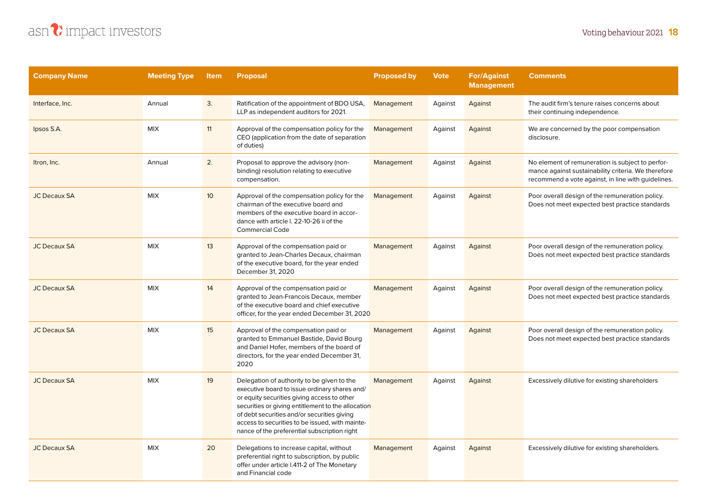### **Voting behaviour 2021 18**



| <b>Company Name</b> | <b>Meeting Type</b> | <b>Item</b>     | <b>Proposal</b>                                                                                                                                                                                                                                                                                                                                    | <b>Proposed by</b> | <b>Vote</b> | <b>For/Against</b><br><b>Management</b> | <b>Comments</b>                                                                                                                                               |
|---------------------|---------------------|-----------------|----------------------------------------------------------------------------------------------------------------------------------------------------------------------------------------------------------------------------------------------------------------------------------------------------------------------------------------------------|--------------------|-------------|-----------------------------------------|---------------------------------------------------------------------------------------------------------------------------------------------------------------|
| Interface, Inc.     | Annual              | 3.              | Ratification of the appointment of BDO USA,<br>LLP as independent auditors for 2021.                                                                                                                                                                                                                                                               | Management         | Against     | Against                                 | The audit firm's tenure raises concerns about<br>their continuing independence.                                                                               |
| Ipsos S.A.          | <b>MIX</b>          | 11              | Approval of the compensation policy for the<br>CEO (application from the date of separation<br>of duties)                                                                                                                                                                                                                                          | Management         | Against     | Against                                 | We are concerned by the poor compensation<br>disclosure.                                                                                                      |
| Itron, Inc.         | Annual              | 2.              | Proposal to approve the advisory (non-<br>binding) resolution relating to executive<br>compensation.                                                                                                                                                                                                                                               | Management         | Against     | Against                                 | No element of remuneration is subject to perfor-<br>mance against sustainability criteria. We therefore<br>recommend a vote against, in line with guidelines. |
| <b>JC Decaux SA</b> | <b>MIX</b>          | 10 <sup>°</sup> | Approval of the compensation policy for the<br>chairman of the executive board and<br>members of the executive board in accor-<br>dance with article I. 22-10-26 ii of the<br><b>Commercial Code</b>                                                                                                                                               | Management         | Against     | Against                                 | Poor overall design of the remuneration policy.<br>Does not meet expected best practice standards                                                             |
| <b>JC Decaux SA</b> | <b>MIX</b>          | 13              | Approval of the compensation paid or<br>granted to Jean-Charles Decaux, chairman<br>of the executive board, for the year ended<br>December 31, 2020                                                                                                                                                                                                | Management         | Against     | Against                                 | Poor overall design of the remuneration policy.<br>Does not meet expected best practice standards                                                             |
| <b>JC Decaux SA</b> | <b>MIX</b>          | 14              | Approval of the compensation paid or<br>granted to Jean-Francois Decaux, member<br>of the executive board and chief executive<br>officer, for the year ended December 31, 2020                                                                                                                                                                     | Management         | Against     | Against                                 | Poor overall design of the remuneration policy.<br>Does not meet expected best practice standards                                                             |
| <b>JC Decaux SA</b> | <b>MIX</b>          | 15              | Approval of the compensation paid or<br>granted to Emmanuel Bastide, David Bourg<br>and Daniel Hofer, members of the board of<br>directors, for the year ended December 31,<br>2020                                                                                                                                                                | Management         | Against     | Against                                 | Poor overall design of the remuneration policy.<br>Does not meet expected best practice standards                                                             |
| <b>JC Decaux SA</b> | <b>MIX</b>          | 19              | Delegation of authority to be given to the<br>executive board to issue ordinary shares and/<br>or equity securities giving access to other<br>securities or giving entitlement to the allocation<br>of debt securities and/or securities giving<br>access to securities to be issued, with mainte-<br>nance of the preferential subscription right | Management         | Against     | Against                                 | Excessively dilutive for existing shareholders                                                                                                                |
| <b>JC Decaux SA</b> | <b>MIX</b>          | 20              | Delegations to increase capital, without<br>preferential right to subscription, by public<br>offer under article I.411-2 of The Monetary<br>and Financial code                                                                                                                                                                                     | Management         | Against     | Against                                 | Excessively dilutive for existing shareholders.                                                                                                               |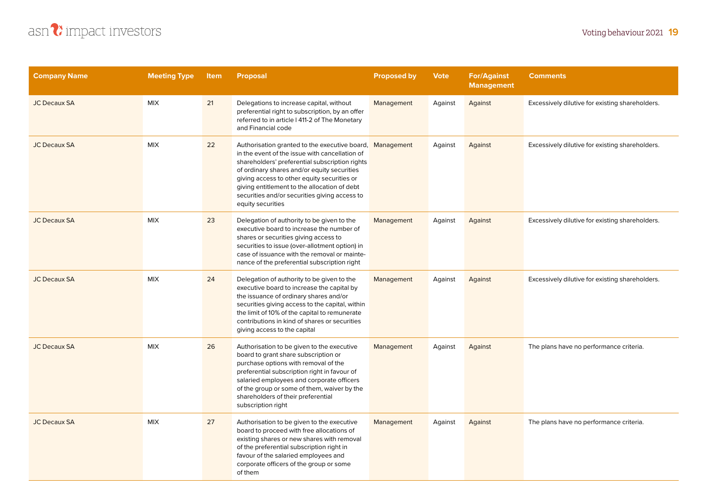

| <b>Company Name</b> | <b>Meeting Type</b> | <b>Item</b> | <b>Proposal</b>                                                                                                                                                                                                                                                                                                                                                                  | <b>Proposed by</b> | <b>Vote</b> | <b>For/Against</b><br><b>Management</b> | <b>Comments</b>                                 |
|---------------------|---------------------|-------------|----------------------------------------------------------------------------------------------------------------------------------------------------------------------------------------------------------------------------------------------------------------------------------------------------------------------------------------------------------------------------------|--------------------|-------------|-----------------------------------------|-------------------------------------------------|
| <b>JC Decaux SA</b> | <b>MIX</b>          | 21          | Delegations to increase capital, without<br>preferential right to subscription, by an offer<br>referred to in article I 411-2 of The Monetary<br>and Financial code                                                                                                                                                                                                              | Management         | Against     | Against                                 | Excessively dilutive for existing shareholders. |
| <b>JC Decaux SA</b> | <b>MIX</b>          | 22          | Authorisation granted to the executive board, Management<br>in the event of the issue with cancellation of<br>shareholders' preferential subscription rights<br>of ordinary shares and/or equity securities<br>giving access to other equity securities or<br>giving entitlement to the allocation of debt<br>securities and/or securities giving access to<br>equity securities |                    | Against     | Against                                 | Excessively dilutive for existing shareholders. |
| <b>JC Decaux SA</b> | <b>MIX</b>          | 23          | Delegation of authority to be given to the<br>executive board to increase the number of<br>shares or securities giving access to<br>securities to issue (over-allotment option) in<br>case of issuance with the removal or mainte-<br>nance of the preferential subscription right                                                                                               | Management         | Against     | Against                                 | Excessively dilutive for existing shareholders. |
| <b>JC Decaux SA</b> | <b>MIX</b>          | 24          | Delegation of authority to be given to the<br>executive board to increase the capital by<br>the issuance of ordinary shares and/or<br>securities giving access to the capital, within<br>the limit of 10% of the capital to remunerate<br>contributions in kind of shares or securities<br>giving access to the capital                                                          | Management         | Against     | Against                                 | Excessively dilutive for existing shareholders. |
| <b>JC Decaux SA</b> | <b>MIX</b>          | 26          | Authorisation to be given to the executive<br>board to grant share subscription or<br>purchase options with removal of the<br>preferential subscription right in favour of<br>salaried employees and corporate officers<br>of the group or some of them, waiver by the<br>shareholders of their preferential<br>subscription right                                               | Management         | Against     | Against                                 | The plans have no performance criteria.         |
| <b>JC Decaux SA</b> | <b>MIX</b>          | 27          | Authorisation to be given to the executive<br>board to proceed with free allocations of<br>existing shares or new shares with removal<br>of the preferential subscription right in<br>favour of the salaried employees and<br>corporate officers of the group or some<br>of them                                                                                                 | Management         | Against     | Against                                 | The plans have no performance criteria.         |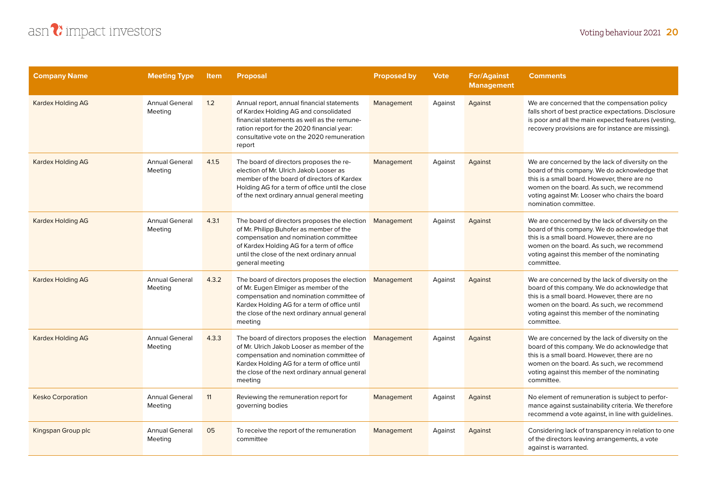

| <b>Company Name</b>      | <b>Meeting Type</b>              | <b>Item</b> | <b>Proposal</b>                                                                                                                                                                                                                                     | <b>Proposed by</b> | <b>Vote</b> | <b>For/Against</b><br><b>Management</b> | <b>Comments</b>                                                                                                                                                                                                                                                           |
|--------------------------|----------------------------------|-------------|-----------------------------------------------------------------------------------------------------------------------------------------------------------------------------------------------------------------------------------------------------|--------------------|-------------|-----------------------------------------|---------------------------------------------------------------------------------------------------------------------------------------------------------------------------------------------------------------------------------------------------------------------------|
| <b>Kardex Holding AG</b> | <b>Annual General</b><br>Meeting | 1.2         | Annual report, annual financial statements<br>of Kardex Holding AG and consolidated<br>financial statements as well as the remune-<br>ration report for the 2020 financial year:<br>consultative vote on the 2020 remuneration<br>report            | Management         | Against     | Against                                 | We are concerned that the compensation policy<br>falls short of best practice expectations. Disclosure<br>is poor and all the main expected features (vesting,<br>recovery provisions are for instance are missing).                                                      |
| <b>Kardex Holding AG</b> | <b>Annual General</b><br>Meeting | 4.1.5       | The board of directors proposes the re-<br>election of Mr. Ulrich Jakob Looser as<br>member of the board of directors of Kardex<br>Holding AG for a term of office until the close<br>of the next ordinary annual general meeting                   | Management         | Against     | Against                                 | We are concerned by the lack of diversity on the<br>board of this company. We do acknowledge that<br>this is a small board. However, there are no<br>women on the board. As such, we recommend<br>voting against Mr. Looser who chairs the board<br>nomination committee. |
| <b>Kardex Holding AG</b> | <b>Annual General</b><br>Meeting | 4.3.1       | The board of directors proposes the election<br>of Mr. Philipp Buhofer as member of the<br>compensation and nomination committee<br>of Kardex Holding AG for a term of office<br>until the close of the next ordinary annual<br>general meeting     | Management         | Against     | Against                                 | We are concerned by the lack of diversity on the<br>board of this company. We do acknowledge that<br>this is a small board. However, there are no<br>women on the board. As such, we recommend<br>voting against this member of the nominating<br>committee.              |
| <b>Kardex Holding AG</b> | <b>Annual General</b><br>Meeting | 4.3.2       | The board of directors proposes the election<br>of Mr. Eugen Elmiger as member of the<br>compensation and nomination committee of<br>Kardex Holding AG for a term of office until<br>the close of the next ordinary annual general<br>meeting       | Management         | Against     | Against                                 | We are concerned by the lack of diversity on the<br>board of this company. We do acknowledge that<br>this is a small board. However, there are no<br>women on the board. As such, we recommend<br>voting against this member of the nominating<br>committee.              |
| <b>Kardex Holding AG</b> | <b>Annual General</b><br>Meeting | 4.3.3       | The board of directors proposes the election<br>of Mr. Ulrich Jakob Looser as member of the<br>compensation and nomination committee of<br>Kardex Holding AG for a term of office until<br>the close of the next ordinary annual general<br>meeting | Management         | Against     | Against                                 | We are concerned by the lack of diversity on the<br>board of this company. We do acknowledge that<br>this is a small board. However, there are no<br>women on the board. As such, we recommend<br>voting against this member of the nominating<br>committee.              |
| <b>Kesko Corporation</b> | <b>Annual General</b><br>Meeting | 11          | Reviewing the remuneration report for<br>governing bodies                                                                                                                                                                                           | Management         | Against     | Against                                 | No element of remuneration is subject to perfor-<br>mance against sustainability criteria. We therefore<br>recommend a vote against, in line with guidelines.                                                                                                             |
| Kingspan Group plc       | <b>Annual General</b><br>Meeting | 05          | To receive the report of the remuneration<br>committee                                                                                                                                                                                              | Management         | Against     | Against                                 | Considering lack of transparency in relation to one<br>of the directors leaving arrangements, a vote<br>against is warranted.                                                                                                                                             |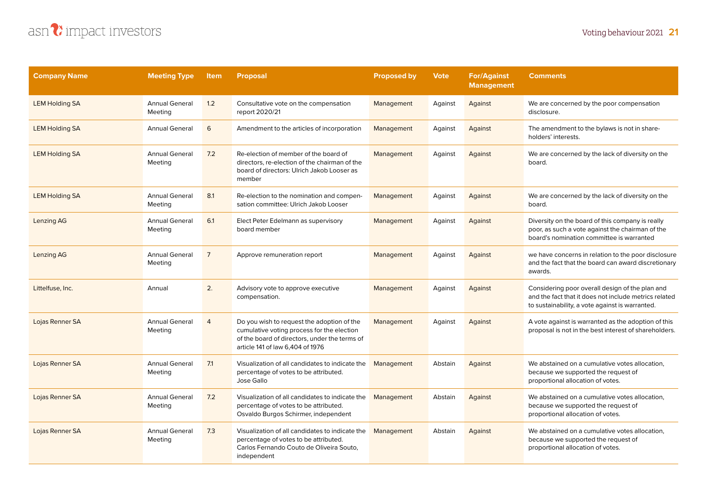## asn?impact investors

| <b>Company Name</b>   | <b>Meeting Type</b>              | <b>Item</b>    | <b>Proposal</b>                                                                                                                                                               | <b>Proposed by</b> | <b>Vote</b> | <b>For/Against</b><br><b>Management</b> | <b>Comments</b>                                                                                                                                             |
|-----------------------|----------------------------------|----------------|-------------------------------------------------------------------------------------------------------------------------------------------------------------------------------|--------------------|-------------|-----------------------------------------|-------------------------------------------------------------------------------------------------------------------------------------------------------------|
| <b>LEM Holding SA</b> | <b>Annual General</b><br>Meeting | 1.2            | Consultative vote on the compensation<br>report 2020/21                                                                                                                       | Management         | Against     | Against                                 | We are concerned by the poor compensation<br>disclosure.                                                                                                    |
| <b>LEM Holding SA</b> | <b>Annual General</b>            | 6              | Amendment to the articles of incorporation                                                                                                                                    | Management         | Against     | Against                                 | The amendment to the bylaws is not in share-<br>holders' interests.                                                                                         |
| <b>LEM Holding SA</b> | <b>Annual General</b><br>Meeting | 7.2            | Re-election of member of the board of<br>directors, re-election of the chairman of the<br>board of directors: Ulrich Jakob Looser as<br>member                                | Management         | Against     | Against                                 | We are concerned by the lack of diversity on the<br>board.                                                                                                  |
| <b>LEM Holding SA</b> | <b>Annual General</b><br>Meeting | 8.1            | Re-election to the nomination and compen-<br>sation committee: Ulrich Jakob Looser                                                                                            | Management         | Against     | Against                                 | We are concerned by the lack of diversity on the<br>board.                                                                                                  |
| Lenzing AG            | <b>Annual General</b><br>Meeting | 6.1            | Elect Peter Edelmann as supervisory<br>board member                                                                                                                           | Management         | Against     | Against                                 | Diversity on the board of this company is really<br>poor, as such a vote against the chairman of the<br>board's nomination committee is warranted           |
| Lenzing AG            | <b>Annual General</b><br>Meeting | $\overline{7}$ | Approve remuneration report                                                                                                                                                   | Management         | Against     | Against                                 | we have concerns in relation to the poor disclosure<br>and the fact that the board can award discretionary<br>awards.                                       |
| Littelfuse, Inc.      | Annual                           | 2.             | Advisory vote to approve executive<br>compensation.                                                                                                                           | Management         | Against     | Against                                 | Considering poor overall design of the plan and<br>and the fact that it does not include metrics related<br>to sustainability, a vote against is warranted. |
| Lojas Renner SA       | <b>Annual General</b><br>Meeting | $\Delta$       | Do you wish to request the adoption of the<br>cumulative voting process for the election<br>of the board of directors, under the terms of<br>article 141 of law 6.404 of 1976 | Management         | Against     | Against                                 | A vote against is warranted as the adoption of this<br>proposal is not in the best interest of shareholders.                                                |
| Lojas Renner SA       | <b>Annual General</b><br>Meeting | 7.1            | Visualization of all candidates to indicate the<br>percentage of votes to be attributed.<br>Jose Gallo                                                                        | Management         | Abstain     | Against                                 | We abstained on a cumulative votes allocation,<br>because we supported the request of<br>proportional allocation of votes.                                  |
| Lojas Renner SA       | <b>Annual General</b><br>Meeting | 7.2            | Visualization of all candidates to indicate the<br>percentage of votes to be attributed.<br>Osvaldo Burgos Schirmer, independent                                              | Management         | Abstain     | Against                                 | We abstained on a cumulative votes allocation.<br>because we supported the request of<br>proportional allocation of votes.                                  |
| Lojas Renner SA       | <b>Annual General</b><br>Meeting | 7.3            | Visualization of all candidates to indicate the<br>percentage of votes to be attributed.<br>Carlos Fernando Couto de Oliveira Souto,<br>independent                           | Management         | Abstain     | Against                                 | We abstained on a cumulative votes allocation,<br>because we supported the request of<br>proportional allocation of votes.                                  |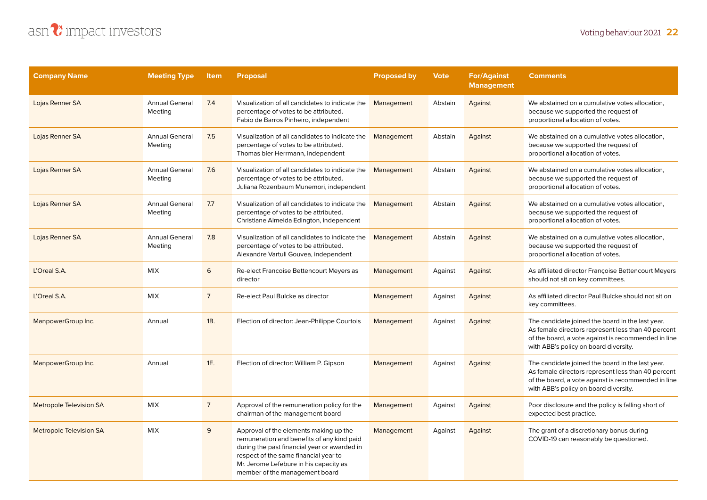

| <b>Company Name</b>            | <b>Meeting Type</b>              | <b>Item</b>    | <b>Proposal</b>                                                                                                                                                                                                                                           | <b>Proposed by</b> | <b>Vote</b> | <b>For/Against</b><br><b>Management</b> | <b>Comments</b>                                                                                                                                                                                        |
|--------------------------------|----------------------------------|----------------|-----------------------------------------------------------------------------------------------------------------------------------------------------------------------------------------------------------------------------------------------------------|--------------------|-------------|-----------------------------------------|--------------------------------------------------------------------------------------------------------------------------------------------------------------------------------------------------------|
| Lojas Renner SA                | <b>Annual General</b><br>Meeting | 7.4            | Visualization of all candidates to indicate the<br>percentage of votes to be attributed.<br>Fabio de Barros Pinheiro, independent                                                                                                                         | Management         | Abstain     | Against                                 | We abstained on a cumulative votes allocation.<br>because we supported the request of<br>proportional allocation of votes.                                                                             |
| Lojas Renner SA                | <b>Annual General</b><br>Meeting | 7.5            | Visualization of all candidates to indicate the<br>percentage of votes to be attributed.<br>Thomas bier Herrmann, independent                                                                                                                             | Management         | Abstain     | Against                                 | We abstained on a cumulative votes allocation.<br>because we supported the request of<br>proportional allocation of votes.                                                                             |
| Lojas Renner SA                | <b>Annual General</b><br>Meeting | 7.6            | Visualization of all candidates to indicate the<br>percentage of votes to be attributed.<br>Juliana Rozenbaum Munemori, independent                                                                                                                       | Management         | Abstain     | Against                                 | We abstained on a cumulative votes allocation,<br>because we supported the request of<br>proportional allocation of votes.                                                                             |
| Lojas Renner SA                | <b>Annual General</b><br>Meeting | 7.7            | Visualization of all candidates to indicate the<br>percentage of votes to be attributed.<br>Christiane Almeida Edington, independent                                                                                                                      | Management         | Abstain     | Against                                 | We abstained on a cumulative votes allocation,<br>because we supported the request of<br>proportional allocation of votes.                                                                             |
| Lojas Renner SA                | <b>Annual General</b><br>Meeting | 7.8            | Visualization of all candidates to indicate the<br>percentage of votes to be attributed.<br>Alexandre Vartuli Gouvea, independent                                                                                                                         | Management         | Abstain     | Against                                 | We abstained on a cumulative votes allocation,<br>because we supported the request of<br>proportional allocation of votes.                                                                             |
| L'Oreal S.A.                   | <b>MIX</b>                       | 6              | Re-elect Francoise Bettencourt Meyers as<br>director                                                                                                                                                                                                      | Management         | Against     | Against                                 | As affiliated director Françoise Bettencourt Meyers<br>should not sit on key committees.                                                                                                               |
| L'Oreal S.A.                   | <b>MIX</b>                       | $\overline{7}$ | Re-elect Paul Bulcke as director                                                                                                                                                                                                                          | Management         | Against     | Against                                 | As affiliated director Paul Bulcke should not sit on<br>key committees.                                                                                                                                |
| ManpowerGroup Inc.             | Annual                           | 1B.            | Election of director: Jean-Philippe Courtois                                                                                                                                                                                                              | Management         | Against     | Against                                 | The candidate joined the board in the last year.<br>As female directors represent less than 40 percent<br>of the board, a vote against is recommended in line<br>with ABB's policy on board diversity. |
| ManpowerGroup Inc.             | Annual                           | 1E.            | Election of director: William P. Gipson                                                                                                                                                                                                                   | Management         | Against     | Against                                 | The candidate joined the board in the last year.<br>As female directors represent less than 40 percent<br>of the board, a vote against is recommended in line<br>with ABB's policy on board diversity. |
| <b>Metropole Television SA</b> | <b>MIX</b>                       | $\overline{7}$ | Approval of the remuneration policy for the<br>chairman of the management board                                                                                                                                                                           | Management         | Against     | Against                                 | Poor disclosure and the policy is falling short of<br>expected best practice.                                                                                                                          |
| <b>Metropole Television SA</b> | <b>MIX</b>                       | 9              | Approval of the elements making up the<br>remuneration and benefits of any kind paid<br>during the past financial year or awarded in<br>respect of the same financial year to<br>Mr. Jerome Lefebure in his capacity as<br>member of the management board | Management         | Against     | Against                                 | The grant of a discretionary bonus during<br>COVID-19 can reasonably be questioned.                                                                                                                    |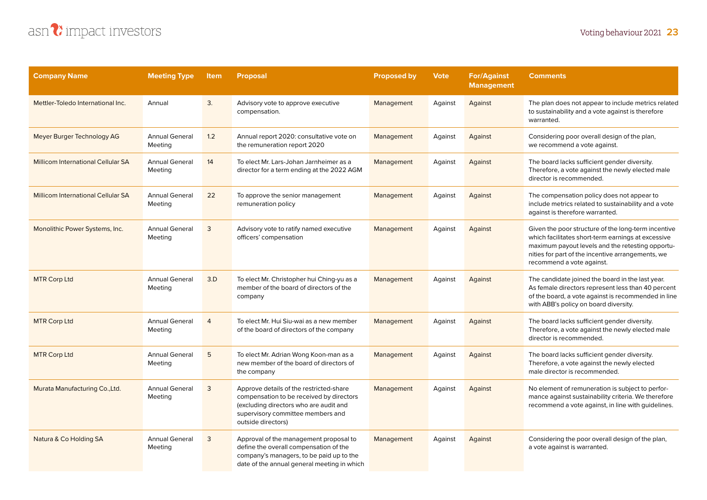

| <b>Company Name</b>                | <b>Meeting Type</b>              | <b>Item</b>    | <b>Proposal</b>                                                                                                                                                                          | <b>Proposed by</b> | <b>Vote</b> | <b>For/Against</b><br><b>Management</b> | <b>Comments</b>                                                                                                                                                                                                                                 |
|------------------------------------|----------------------------------|----------------|------------------------------------------------------------------------------------------------------------------------------------------------------------------------------------------|--------------------|-------------|-----------------------------------------|-------------------------------------------------------------------------------------------------------------------------------------------------------------------------------------------------------------------------------------------------|
| Mettler-Toledo International Inc.  | Annual                           | 3.             | Advisory vote to approve executive<br>compensation.                                                                                                                                      | Management         | Against     | Against                                 | The plan does not appear to include metrics related<br>to sustainability and a vote against is therefore<br>warranted.                                                                                                                          |
| Meyer Burger Technology AG         | <b>Annual General</b><br>Meeting | 1.2            | Annual report 2020: consultative vote on<br>the remuneration report 2020                                                                                                                 | Management         | Against     | Against                                 | Considering poor overall design of the plan,<br>we recommend a vote against.                                                                                                                                                                    |
| Millicom International Cellular SA | <b>Annual General</b><br>Meeting | 14             | To elect Mr. Lars-Johan Jarnheimer as a<br>director for a term ending at the 2022 AGM                                                                                                    | Management         | Against     | Against                                 | The board lacks sufficient gender diversity.<br>Therefore, a vote against the newly elected male<br>director is recommended.                                                                                                                    |
| Millicom International Cellular SA | <b>Annual General</b><br>Meeting | 22             | To approve the senior management<br>remuneration policy                                                                                                                                  | Management         | Against     | Against                                 | The compensation policy does not appear to<br>include metrics related to sustainability and a vote<br>against is therefore warranted.                                                                                                           |
| Monolithic Power Systems, Inc.     | <b>Annual General</b><br>Meeting | 3              | Advisory vote to ratify named executive<br>officers' compensation                                                                                                                        | Management         | Against     | Against                                 | Given the poor structure of the long-term incentive<br>which facilitates short-term earnings at excessive<br>maximum payout levels and the retesting opportu-<br>nities for part of the incentive arrangements, we<br>recommend a vote against. |
| <b>MTR Corp Ltd</b>                | <b>Annual General</b><br>Meeting | 3.D            | To elect Mr. Christopher hui Ching-yu as a<br>member of the board of directors of the<br>company                                                                                         | Management         | Against     | Against                                 | The candidate joined the board in the last year.<br>As female directors represent less than 40 percent<br>of the board, a vote against is recommended in line<br>with ABB's policy on board diversity.                                          |
| <b>MTR Corp Ltd</b>                | <b>Annual General</b><br>Meeting | $\overline{4}$ | To elect Mr. Hui Siu-wai as a new member<br>of the board of directors of the company                                                                                                     | Management         | Against     | Against                                 | The board lacks sufficient gender diversity.<br>Therefore, a vote against the newly elected male<br>director is recommended.                                                                                                                    |
| <b>MTR Corp Ltd</b>                | <b>Annual General</b><br>Meeting | 5              | To elect Mr. Adrian Wong Koon-man as a<br>new member of the board of directors of<br>the company                                                                                         | Management         | Against     | Against                                 | The board lacks sufficient gender diversity.<br>Therefore, a vote against the newly elected<br>male director is recommended.                                                                                                                    |
| Murata Manufacturing Co., Ltd.     | <b>Annual General</b><br>Meeting | 3              | Approve details of the restricted-share<br>compensation to be received by directors<br>(excluding directors who are audit and<br>supervisory committee members and<br>outside directors) | Management         | Against     | Against                                 | No element of remuneration is subject to perfor-<br>mance against sustainability criteria. We therefore<br>recommend a vote against, in line with guidelines.                                                                                   |
| Natura & Co Holding SA             | <b>Annual General</b><br>Meeting | 3              | Approval of the management proposal to<br>define the overall compensation of the<br>company's managers, to be paid up to the<br>date of the annual general meeting in which              | Management         | Against     | Against                                 | Considering the poor overall design of the plan,<br>a vote against is warranted.                                                                                                                                                                |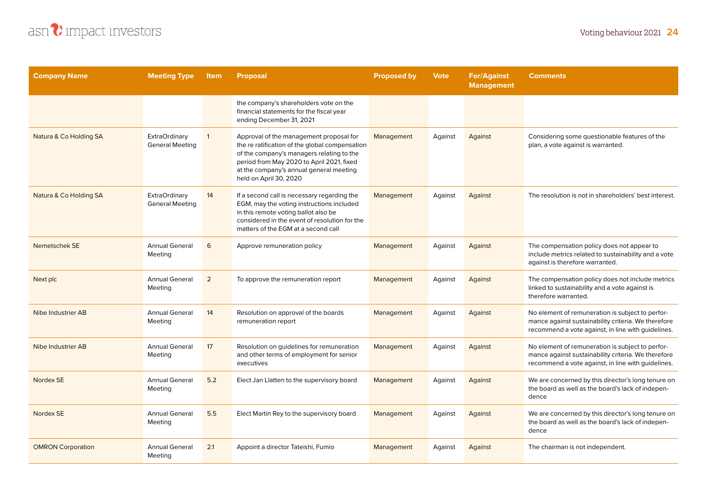

| <b>Company Name</b>      | <b>Meeting Type</b>                            | <b>Item</b>    | <b>Proposal</b>                                                                                                                                                                                                                                          | <b>Proposed by</b> | <b>Vote</b> | <b>For/Against</b><br><b>Management</b> | <b>Comments</b>                                                                                                                                               |
|--------------------------|------------------------------------------------|----------------|----------------------------------------------------------------------------------------------------------------------------------------------------------------------------------------------------------------------------------------------------------|--------------------|-------------|-----------------------------------------|---------------------------------------------------------------------------------------------------------------------------------------------------------------|
|                          |                                                |                | the company's shareholders vote on the<br>financial statements for the fiscal year<br>ending December 31, 2021                                                                                                                                           |                    |             |                                         |                                                                                                                                                               |
| Natura & Co Holding SA   | <b>ExtraOrdinary</b><br><b>General Meeting</b> | $\mathbf{1}$   | Approval of the management proposal for<br>the re ratification of the global compensation<br>of the company's managers relating to the<br>period from May 2020 to April 2021, fixed<br>at the company's annual general meeting<br>held on April 30, 2020 | Management         | Against     | Against                                 | Considering some questionable features of the<br>plan, a vote against is warranted.                                                                           |
| Natura & Co Holding SA   | <b>ExtraOrdinary</b><br><b>General Meeting</b> | 14             | If a second call is necessary regarding the<br>EGM, may the voting instructions included<br>in this remote voting ballot also be<br>considered in the event of resolution for the<br>matters of the EGM at a second call                                 | Management         | Against     | Against                                 | The resolution is not in shareholders' best interest.                                                                                                         |
| Nemetschek SE            | <b>Annual General</b><br>Meeting               | 6              | Approve remuneration policy                                                                                                                                                                                                                              | Management         | Against     | Against                                 | The compensation policy does not appear to<br>include metrics related to sustainability and a vote<br>against is therefore warranted.                         |
| Next plc                 | <b>Annual General</b><br>Meeting               | $\overline{2}$ | To approve the remuneration report                                                                                                                                                                                                                       | Management         | Against     | Against                                 | The compensation policy does not include metrics<br>linked to sustainability and a vote against is<br>therefore warranted.                                    |
| Nibe Industrier AB       | <b>Annual General</b><br>Meeting               | 14             | Resolution on approval of the boards<br>remuneration report                                                                                                                                                                                              | Management         | Against     | Against                                 | No element of remuneration is subject to perfor-<br>mance against sustainability criteria. We therefore<br>recommend a vote against, in line with guidelines. |
| Nibe Industrier AB       | <b>Annual General</b><br>Meeting               | 17             | Resolution on guidelines for remuneration<br>and other terms of employment for senior<br>executives                                                                                                                                                      | Management         | Against     | Against                                 | No element of remuneration is subject to perfor-<br>mance against sustainability criteria. We therefore<br>recommend a vote against, in line with guidelines. |
| Nordex SE                | <b>Annual General</b><br>Meeting               | 5.2            | Elect Jan Llatten to the supervisory board                                                                                                                                                                                                               | Management         | Against     | Against                                 | We are concerned by this director's long tenure on<br>the board as well as the board's lack of indepen-<br>dence                                              |
| Nordex SE                | <b>Annual General</b><br>Meeting               | 5.5            | Elect Martin Rey to the supervisory board                                                                                                                                                                                                                | Management         | Against     | Against                                 | We are concerned by this director's long tenure on<br>the board as well as the board's lack of indepen-<br>dence                                              |
| <b>OMRON Corporation</b> | <b>Annual General</b><br>Meeting               | 2.1            | Appoint a director Tateishi, Fumio                                                                                                                                                                                                                       | Management         | Against     | Against                                 | The chairman is not independent.                                                                                                                              |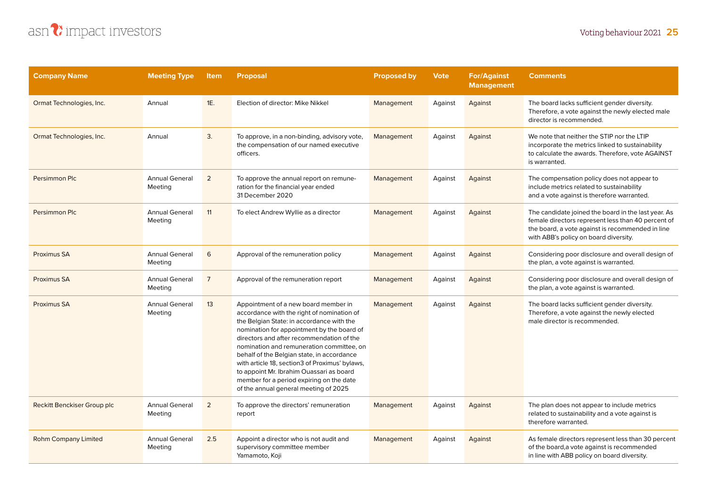| <b>Company Name</b>         | <b>Meeting Type</b>              | <b>Item</b>    | <b>Proposal</b>                                                                                                                                                                                                                                                                                                                                                                                                                                                                                          | <b>Proposed by</b> | <b>Vote</b> | <b>For/Against</b><br><b>Management</b> | <b>Comments</b>                                                                                                                                                                                        |
|-----------------------------|----------------------------------|----------------|----------------------------------------------------------------------------------------------------------------------------------------------------------------------------------------------------------------------------------------------------------------------------------------------------------------------------------------------------------------------------------------------------------------------------------------------------------------------------------------------------------|--------------------|-------------|-----------------------------------------|--------------------------------------------------------------------------------------------------------------------------------------------------------------------------------------------------------|
| Ormat Technologies, Inc.    | Annual                           | 1E.            | Election of director: Mike Nikkel                                                                                                                                                                                                                                                                                                                                                                                                                                                                        | Management         | Against     | Against                                 | The board lacks sufficient gender diversity.<br>Therefore, a vote against the newly elected male<br>director is recommended.                                                                           |
| Ormat Technologies, Inc.    | Annual                           | 3.             | To approve, in a non-binding, advisory vote,<br>the compensation of our named executive<br>officers.                                                                                                                                                                                                                                                                                                                                                                                                     | Management         | Against     | Against                                 | We note that neither the STIP nor the LTIP<br>incorporate the metrics linked to sustainability<br>to calculate the awards. Therefore, vote AGAINST<br>is warranted.                                    |
| Persimmon Plc               | <b>Annual General</b><br>Meeting | 2              | To approve the annual report on remune-<br>ration for the financial year ended<br>31 December 2020                                                                                                                                                                                                                                                                                                                                                                                                       | Management         | Against     | Against                                 | The compensation policy does not appear to<br>include metrics related to sustainability<br>and a vote against is therefore warranted.                                                                  |
| Persimmon Plc               | <b>Annual General</b><br>Meeting | 11             | To elect Andrew Wyllie as a director                                                                                                                                                                                                                                                                                                                                                                                                                                                                     | Management         | Against     | Against                                 | The candidate joined the board in the last year. As<br>female directors represent less than 40 percent of<br>the board, a vote against is recommended in line<br>with ABB's policy on board diversity. |
| <b>Proximus SA</b>          | <b>Annual General</b><br>Meeting | 6              | Approval of the remuneration policy                                                                                                                                                                                                                                                                                                                                                                                                                                                                      | Management         | Against     | Against                                 | Considering poor disclosure and overall design of<br>the plan, a vote against is warranted.                                                                                                            |
| <b>Proximus SA</b>          | <b>Annual General</b><br>Meeting | $\overline{7}$ | Approval of the remuneration report                                                                                                                                                                                                                                                                                                                                                                                                                                                                      | Management         | Against     | Against                                 | Considering poor disclosure and overall design of<br>the plan, a vote against is warranted.                                                                                                            |
| Proximus SA                 | <b>Annual General</b><br>Meeting | 13             | Appointment of a new board member in<br>accordance with the right of nomination of<br>the Belgian State: in accordance with the<br>nomination for appointment by the board of<br>directors and after recommendation of the<br>nomination and remuneration committee, on<br>behalf of the Belgian state, in accordance<br>with article 18, section3 of Proximus' bylaws,<br>to appoint Mr. Ibrahim Ouassari as board<br>member for a period expiring on the date<br>of the annual general meeting of 2025 | Management         | Against     | Against                                 | The board lacks sufficient gender diversity.<br>Therefore, a vote against the newly elected<br>male director is recommended.                                                                           |
| Reckitt Benckiser Group plc | <b>Annual General</b><br>Meeting | $\overline{2}$ | To approve the directors' remuneration<br>report                                                                                                                                                                                                                                                                                                                                                                                                                                                         | Management         | Against     | Against                                 | The plan does not appear to include metrics<br>related to sustainability and a vote against is<br>therefore warranted.                                                                                 |
| <b>Rohm Company Limited</b> | <b>Annual General</b><br>Meeting | 2.5            | Appoint a director who is not audit and<br>supervisory committee member<br>Yamamoto, Koji                                                                                                                                                                                                                                                                                                                                                                                                                | Management         | Against     | Against                                 | As female directors represent less than 30 percent<br>of the board, a vote against is recommended<br>in line with ABB policy on board diversity.                                                       |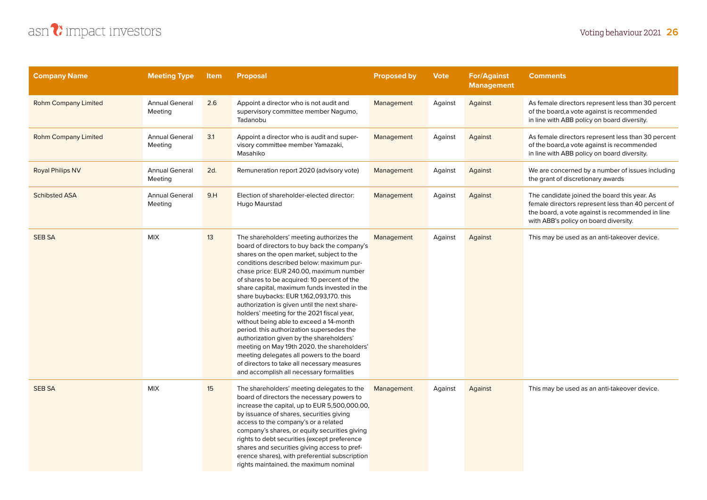| <b>Company Name</b>         | <b>Meeting Type</b>              | <b>Item</b> | <b>Proposal</b>                                                                                                                                                                                                                                                                                                                                                                                                                                                                                                                                                                                                                                                                                                                                                                                 | <b>Proposed by</b> | <b>Vote</b> | <b>For/Against</b><br><b>Management</b> | <b>Comments</b>                                                                                                                                                                                 |
|-----------------------------|----------------------------------|-------------|-------------------------------------------------------------------------------------------------------------------------------------------------------------------------------------------------------------------------------------------------------------------------------------------------------------------------------------------------------------------------------------------------------------------------------------------------------------------------------------------------------------------------------------------------------------------------------------------------------------------------------------------------------------------------------------------------------------------------------------------------------------------------------------------------|--------------------|-------------|-----------------------------------------|-------------------------------------------------------------------------------------------------------------------------------------------------------------------------------------------------|
| <b>Rohm Company Limited</b> | <b>Annual General</b><br>Meeting | 2.6         | Appoint a director who is not audit and<br>supervisory committee member Nagumo,<br>Tadanobu                                                                                                                                                                                                                                                                                                                                                                                                                                                                                                                                                                                                                                                                                                     | Management         | Against     | Against                                 | As female directors represent less than 30 percent<br>of the board, a vote against is recommended<br>in line with ABB policy on board diversity.                                                |
| <b>Rohm Company Limited</b> | <b>Annual General</b><br>Meeting | 3.1         | Appoint a director who is audit and super-<br>visory committee member Yamazaki,<br>Masahiko                                                                                                                                                                                                                                                                                                                                                                                                                                                                                                                                                                                                                                                                                                     | Management         | Against     | Against                                 | As female directors represent less than 30 percent<br>of the board, a vote against is recommended<br>in line with ABB policy on board diversity.                                                |
| <b>Royal Philips NV</b>     | <b>Annual General</b><br>Meeting | 2d.         | Remuneration report 2020 (advisory vote)                                                                                                                                                                                                                                                                                                                                                                                                                                                                                                                                                                                                                                                                                                                                                        | Management         | Against     | Against                                 | We are concerned by a number of issues including<br>the grant of discretionary awards                                                                                                           |
| <b>Schibsted ASA</b>        | <b>Annual General</b><br>Meeting | 9.H         | Election of shareholder-elected director:<br>Hugo Maurstad                                                                                                                                                                                                                                                                                                                                                                                                                                                                                                                                                                                                                                                                                                                                      | Management         | Against     | Against                                 | The candidate joined the board this year. As<br>female directors represent less than 40 percent of<br>the board, a vote against is recommended in line<br>with ABB's policy on board diversity. |
| <b>SEB SA</b>               | <b>MIX</b>                       | 13          | The shareholders' meeting authorizes the<br>board of directors to buy back the company's<br>shares on the open market, subject to the<br>conditions described below: maximum pur-<br>chase price: EUR 240.00, maximum number<br>of shares to be acquired: 10 percent of the<br>share capital, maximum funds invested in the<br>share buybacks: EUR 1,162,093,170. this<br>authorization is given until the next share-<br>holders' meeting for the 2021 fiscal year,<br>without being able to exceed a 14-month<br>period. this authorization supersedes the<br>authorization given by the shareholders'<br>meeting on May 19th 2020. the shareholders'<br>meeting delegates all powers to the board<br>of directors to take all necessary measures<br>and accomplish all necessary formalities | Management         | Against     | Against                                 | This may be used as an anti-takeover device.                                                                                                                                                    |
| <b>SEB SA</b>               | <b>MIX</b>                       | 15          | The shareholders' meeting delegates to the<br>board of directors the necessary powers to<br>increase the capital, up to EUR 5,500,000.00,<br>by issuance of shares, securities giving<br>access to the company's or a related<br>company's shares, or equity securities giving<br>rights to debt securities (except preference<br>shares and securities giving access to pref-<br>erence shares), with preferential subscription<br>rights maintained. the maximum nominal                                                                                                                                                                                                                                                                                                                      | Management         | Against     | Against                                 | This may be used as an anti-takeover device.                                                                                                                                                    |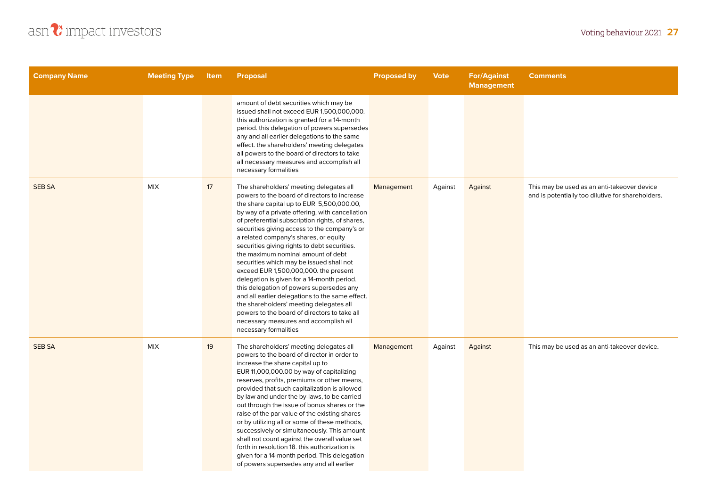

| <b>Company Name</b> | <b>Meeting Type</b> | <b>Item</b> | <b>Proposal</b>                                                                                                                                                                                                                                                                                                                                                                                                                                                                                                                                                                                                                                                                                                                                                                                                          | <b>Proposed by</b> | <b>Vote</b> | <b>For/Against</b><br><b>Management</b> | <b>Comments</b>                                                                                  |
|---------------------|---------------------|-------------|--------------------------------------------------------------------------------------------------------------------------------------------------------------------------------------------------------------------------------------------------------------------------------------------------------------------------------------------------------------------------------------------------------------------------------------------------------------------------------------------------------------------------------------------------------------------------------------------------------------------------------------------------------------------------------------------------------------------------------------------------------------------------------------------------------------------------|--------------------|-------------|-----------------------------------------|--------------------------------------------------------------------------------------------------|
|                     |                     |             | amount of debt securities which may be<br>issued shall not exceed EUR 1,500,000,000.<br>this authorization is granted for a 14-month<br>period. this delegation of powers supersedes<br>any and all earlier delegations to the same<br>effect. the shareholders' meeting delegates<br>all powers to the board of directors to take<br>all necessary measures and accomplish all<br>necessary formalities                                                                                                                                                                                                                                                                                                                                                                                                                 |                    |             |                                         |                                                                                                  |
| <b>SEB SA</b>       | <b>MIX</b>          | 17          | The shareholders' meeting delegates all<br>powers to the board of directors to increase<br>the share capital up to EUR 5,500,000.00,<br>by way of a private offering, with cancellation<br>of preferential subscription rights, of shares,<br>securities giving access to the company's or<br>a related company's shares, or equity<br>securities giving rights to debt securities.<br>the maximum nominal amount of debt<br>securities which may be issued shall not<br>exceed EUR 1,500,000,000. the present<br>delegation is given for a 14-month period.<br>this delegation of powers supersedes any<br>and all earlier delegations to the same effect.<br>the shareholders' meeting delegates all<br>powers to the board of directors to take all<br>necessary measures and accomplish all<br>necessary formalities | Management         | Against     | Against                                 | This may be used as an anti-takeover device<br>and is potentially too dilutive for shareholders. |
| <b>SEB SA</b>       | <b>MIX</b>          | 19          | The shareholders' meeting delegates all<br>powers to the board of director in order to<br>increase the share capital up to<br>EUR 11,000,000.00 by way of capitalizing<br>reserves, profits, premiums or other means,<br>provided that such capitalization is allowed<br>by law and under the by-laws, to be carried<br>out through the issue of bonus shares or the<br>raise of the par value of the existing shares<br>or by utilizing all or some of these methods,<br>successively or simultaneously. This amount<br>shall not count against the overall value set<br>forth in resolution 18. this authorization is<br>given for a 14-month period. This delegation<br>of powers supersedes any and all earlier                                                                                                      | Management         | Against     | Against                                 | This may be used as an anti-takeover device.                                                     |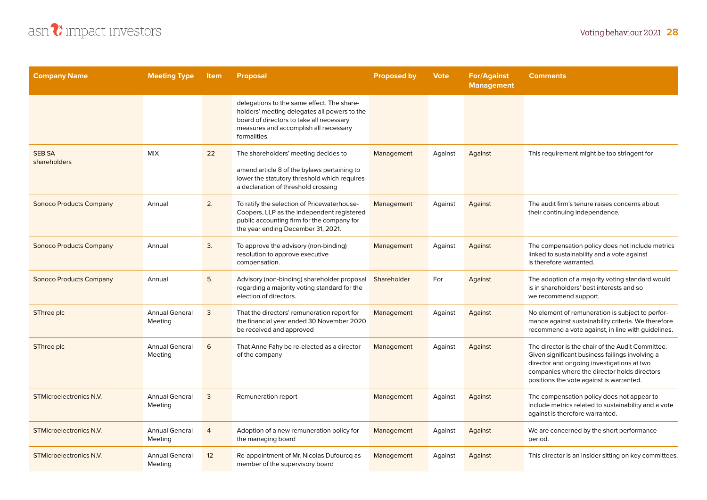

| <b>Company Name</b>            | <b>Meeting Type</b>              | <b>Item</b>    | <b>Proposal</b>                                                                                                                                                                                | <b>Proposed by</b> | <b>Vote</b> | <b>For/Against</b><br><b>Management</b> | <b>Comments</b>                                                                                                                                                                                                                                |
|--------------------------------|----------------------------------|----------------|------------------------------------------------------------------------------------------------------------------------------------------------------------------------------------------------|--------------------|-------------|-----------------------------------------|------------------------------------------------------------------------------------------------------------------------------------------------------------------------------------------------------------------------------------------------|
|                                |                                  |                | delegations to the same effect. The share-<br>holders' meeting delegates all powers to the<br>board of directors to take all necessary<br>measures and accomplish all necessary<br>formalities |                    |             |                                         |                                                                                                                                                                                                                                                |
| <b>SEB SA</b><br>shareholders  | <b>MIX</b>                       | 22             | The shareholders' meeting decides to<br>amend article 8 of the bylaws pertaining to<br>lower the statutory threshold which requires<br>a declaration of threshold crossing                     | Management         | Against     | Against                                 | This requirement might be too stringent for                                                                                                                                                                                                    |
| <b>Sonoco Products Company</b> | Annual                           | 2.             | To ratify the selection of Pricewaterhouse-<br>Coopers, LLP as the independent registered<br>public accounting firm for the company for<br>the year ending December 31, 2021.                  | Management         | Against     | Against                                 | The audit firm's tenure raises concerns about<br>their continuing independence.                                                                                                                                                                |
| <b>Sonoco Products Company</b> | Annual                           | 3.             | To approve the advisory (non-binding)<br>resolution to approve executive<br>compensation.                                                                                                      | Management         | Against     | Against                                 | The compensation policy does not include metrics<br>linked to sustainability and a vote against<br>is therefore warranted.                                                                                                                     |
| <b>Sonoco Products Company</b> | Annual                           | 5.             | Advisory (non-binding) shareholder proposal<br>regarding a majority voting standard for the<br>election of directors.                                                                          | Shareholder        | For         | Against                                 | The adoption of a majority voting standard would<br>is in shareholders' best interests and so<br>we recommend support.                                                                                                                         |
| SThree plc                     | <b>Annual General</b><br>Meeting | 3              | That the directors' remuneration report for<br>the financial year ended 30 November 2020<br>be received and approved                                                                           | Management         | Against     | Against                                 | No element of remuneration is subject to perfor-<br>mance against sustainability criteria. We therefore<br>recommend a vote against, in line with guidelines.                                                                                  |
| SThree plc                     | <b>Annual General</b><br>Meeting | 6              | That Anne Fahy be re-elected as a director<br>of the company                                                                                                                                   | Management         | Against     | Against                                 | The director is the chair of the Audit Committee.<br>Given significant business failings involving a<br>director and ongoing investigations at two<br>companies where the director holds directors<br>positions the vote against is warranted. |
| <b>STMicroelectronics N.V.</b> | <b>Annual General</b><br>Meeting | 3              | Remuneration report                                                                                                                                                                            | Management         | Against     | Against                                 | The compensation policy does not appear to<br>include metrics related to sustainability and a vote<br>against is therefore warranted.                                                                                                          |
| <b>STMicroelectronics N.V.</b> | <b>Annual General</b><br>Meeting | $\overline{4}$ | Adoption of a new remuneration policy for<br>the managing board                                                                                                                                | Management         | Against     | Against                                 | We are concerned by the short performance<br>period.                                                                                                                                                                                           |
| <b>STMicroelectronics N.V.</b> | <b>Annual General</b><br>Meeting | 12             | Re-appointment of Mr. Nicolas Dufourcq as<br>member of the supervisory board                                                                                                                   | Management         | Against     | Against                                 | This director is an insider sitting on key committees.                                                                                                                                                                                         |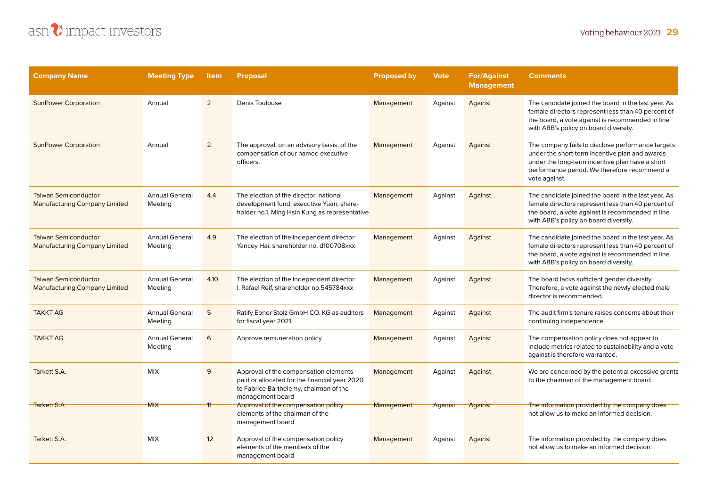

| <b>Company Name</b>                                                 | <b>Meeting Type</b>              | <b>Item</b>    | <b>Proposal</b>                                                                                                                                      | <b>Proposed by</b> | <b>Vote</b> | <b>For/Against</b><br><b>Management</b> | <b>Comments</b>                                                                                                                                                                                                         |
|---------------------------------------------------------------------|----------------------------------|----------------|------------------------------------------------------------------------------------------------------------------------------------------------------|--------------------|-------------|-----------------------------------------|-------------------------------------------------------------------------------------------------------------------------------------------------------------------------------------------------------------------------|
| <b>SunPower Corporation</b>                                         | Annual                           | $\overline{2}$ | Denis Toulouse                                                                                                                                       | Management         | Against     | Against                                 | The candidate joined the board in the last year. As<br>female directors represent less than 40 percent of<br>the board, a vote against is recommended in line<br>with ABB's policy on board diversity.                  |
| <b>SunPower Corporation</b>                                         | Annual                           | 2.             | The approval, on an advisory basis, of the<br>compensation of our named executive<br>officers.                                                       | Management         | Against     | Against                                 | The company fails to disclose performance targets<br>under the short-term incentive plan and awards<br>under the long-term incentive plan have a short<br>performance period. We therefore recommend a<br>vote against. |
| <b>Taiwan Semiconductor</b><br><b>Manufacturing Company Limited</b> | <b>Annual General</b><br>Meeting | 4.4            | The election of the director: national<br>development fund, executive Yuan, share-<br>holder no.1, Ming Hsin Kung as representative                  | Management         | Against     | Against                                 | The candidate joined the board in the last year. As<br>female directors represent less than 40 percent of<br>the board, a vote against is recommended in line<br>with ABB's policy on board diversity.                  |
| <b>Taiwan Semiconductor</b><br><b>Manufacturing Company Limited</b> | <b>Annual General</b><br>Meeting | 4.9            | The election of the independent director:<br>Yancey Hai, shareholder no. d100708xxx                                                                  | Management         | Against     | Against                                 | The candidate joined the board in the last year. As<br>female directors represent less than 40 percent of<br>the board, a vote against is recommended in line<br>with ABB's policy on board diversity.                  |
| <b>Taiwan Semiconductor</b><br><b>Manufacturing Company Limited</b> | <b>Annual General</b><br>Meeting | 4.10           | The election of the independent director:<br>I. Rafael Reif, shareholder no.545784xxx                                                                | Management         | Against     | Against                                 | The board lacks sufficient gender diversity.<br>Therefore, a vote against the newly elected male<br>director is recommended.                                                                                            |
| <b>TAKKT AG</b>                                                     | <b>Annual General</b><br>Meeting | 5              | Ratify Ebner Stolz GmbH CO. KG as auditors<br>for fiscal year 2021                                                                                   | Management         | Against     | Against                                 | The audit firm's tenure raises concerns about their<br>continuing independence.                                                                                                                                         |
| <b>TAKKT AG</b>                                                     | <b>Annual General</b><br>Meeting | 6              | Approve remuneration policy                                                                                                                          | Management         | Against     | Against                                 | The compensation policy does not appear to<br>include metrics related to sustainability and a vote<br>against is therefore warranted.                                                                                   |
| Tarkett S.A.                                                        | <b>MIX</b>                       | 9              | Approval of the compensation elements<br>paid or allocated for the financial year 2020<br>to Fabrice Barthelemy, chairman of the<br>management board | Management         | Against     | Against                                 | We are concerned by the potential excessive grants<br>to the chairman of the management board.                                                                                                                          |
| <b>Tarkett S.A</b>                                                  | <b>MIX</b>                       |                | Approval of the compensation policy<br>elements of the chairman of the<br>management board                                                           | Management         | Against     | Against                                 | The information provided by the company does<br>not allow us to make an informed decision.                                                                                                                              |
| Tarkett S.A.                                                        | <b>MIX</b>                       | 12             | Approval of the compensation policy<br>elements of the members of the<br>management board                                                            | Management         | Against     | Against                                 | The information provided by the company does<br>not allow us to make an informed decision.                                                                                                                              |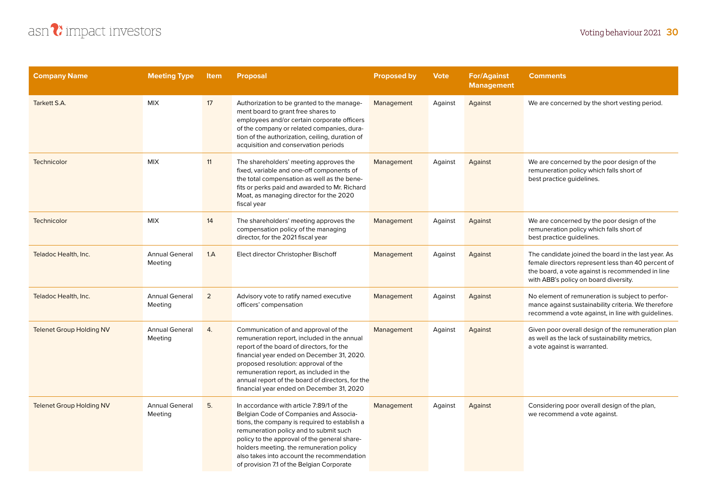

| <b>Company Name</b>             | <b>Meeting Type</b>              | Item           | <b>Proposal</b>                                                                                                                                                                                                                                                                                                                                                      | <b>Proposed by</b> | <b>Vote</b> | <b>For/Against</b><br><b>Management</b> | <b>Comments</b>                                                                                                                                                                                        |
|---------------------------------|----------------------------------|----------------|----------------------------------------------------------------------------------------------------------------------------------------------------------------------------------------------------------------------------------------------------------------------------------------------------------------------------------------------------------------------|--------------------|-------------|-----------------------------------------|--------------------------------------------------------------------------------------------------------------------------------------------------------------------------------------------------------|
| Tarkett S.A.                    | <b>MIX</b>                       | 17             | Authorization to be granted to the manage-<br>ment board to grant free shares to<br>employees and/or certain corporate officers<br>of the company or related companies, dura-<br>tion of the authorization, ceiling, duration of<br>acquisition and conservation periods                                                                                             | Management         | Against     | Against                                 | We are concerned by the short vesting period.                                                                                                                                                          |
| Technicolor                     | <b>MIX</b>                       | 11             | The shareholders' meeting approves the<br>fixed, variable and one-off components of<br>the total compensation as well as the bene-<br>fits or perks paid and awarded to Mr. Richard<br>Moat, as managing director for the 2020<br>fiscal year                                                                                                                        | Management         | Against     | Against                                 | We are concerned by the poor design of the<br>remuneration policy which falls short of<br>best practice guidelines.                                                                                    |
| Technicolor                     | <b>MIX</b>                       | 14             | The shareholders' meeting approves the<br>compensation policy of the managing<br>director, for the 2021 fiscal year                                                                                                                                                                                                                                                  | Management         | Against     | Against                                 | We are concerned by the poor design of the<br>remuneration policy which falls short of<br>best practice guidelines.                                                                                    |
| Teladoc Health, Inc.            | <b>Annual General</b><br>Meeting | 1.A            | Elect director Christopher Bischoff                                                                                                                                                                                                                                                                                                                                  | Management         | Against     | Against                                 | The candidate joined the board in the last year. As<br>female directors represent less than 40 percent of<br>the board, a vote against is recommended in line<br>with ABB's policy on board diversity. |
| Teladoc Health, Inc.            | <b>Annual General</b><br>Meeting | $\overline{2}$ | Advisory vote to ratify named executive<br>officers' compensation                                                                                                                                                                                                                                                                                                    | Management         | Against     | Against                                 | No element of remuneration is subject to perfor-<br>mance against sustainability criteria. We therefore<br>recommend a vote against, in line with guidelines.                                          |
| <b>Telenet Group Holding NV</b> | <b>Annual General</b><br>Meeting | 4.             | Communication of and approval of the<br>remuneration report, included in the annual<br>report of the board of directors, for the<br>financial year ended on December 31, 2020.<br>proposed resolution: approval of the<br>remuneration report, as included in the<br>annual report of the board of directors, for the<br>financial year ended on December 31, 2020   | Management         | Against     | Against                                 | Given poor overall design of the remuneration plan<br>as well as the lack of sustainability metrics,<br>a vote against is warranted.                                                                   |
| <b>Telenet Group Holding NV</b> | <b>Annual General</b><br>Meeting | 5.             | In accordance with article 7:89/1 of the<br>Belgian Code of Companies and Associa-<br>tions, the company is required to establish a<br>remuneration policy and to submit such<br>policy to the approval of the general share-<br>holders meeting. the remuneration policy<br>also takes into account the recommendation<br>of provision 7.1 of the Belgian Corporate | Management         | Against     | Against                                 | Considering poor overall design of the plan,<br>we recommend a vote against.                                                                                                                           |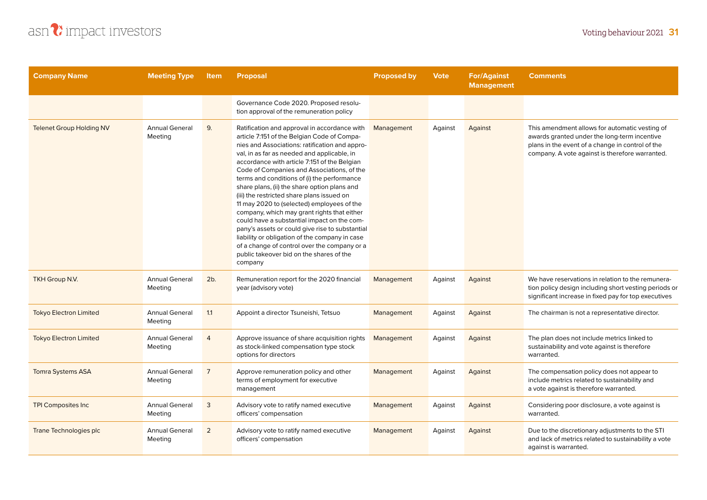

| <b>Company Name</b>             | <b>Meeting Type</b>              | <b>Item</b>    | <b>Proposal</b>                                                                                                                                                                                                                                                                                                                                                                                                                                                                                                                                                                                                                                                                                                                                                                                 | <b>Proposed by</b> | <b>Vote</b> | <b>For/Against</b><br><b>Management</b> | <b>Comments</b>                                                                                                                                                                                       |
|---------------------------------|----------------------------------|----------------|-------------------------------------------------------------------------------------------------------------------------------------------------------------------------------------------------------------------------------------------------------------------------------------------------------------------------------------------------------------------------------------------------------------------------------------------------------------------------------------------------------------------------------------------------------------------------------------------------------------------------------------------------------------------------------------------------------------------------------------------------------------------------------------------------|--------------------|-------------|-----------------------------------------|-------------------------------------------------------------------------------------------------------------------------------------------------------------------------------------------------------|
|                                 |                                  |                | Governance Code 2020. Proposed resolu-<br>tion approval of the remuneration policy                                                                                                                                                                                                                                                                                                                                                                                                                                                                                                                                                                                                                                                                                                              |                    |             |                                         |                                                                                                                                                                                                       |
| <b>Telenet Group Holding NV</b> | <b>Annual General</b><br>Meeting | 9.             | Ratification and approval in accordance with<br>article 7:151 of the Belgian Code of Compa-<br>nies and Associations: ratification and appro-<br>val, in as far as needed and applicable, in<br>accordance with article 7:151 of the Belgian<br>Code of Companies and Associations, of the<br>terms and conditions of (i) the performance<br>share plans, (ii) the share option plans and<br>(iii) the restricted share plans issued on<br>11 may 2020 to (selected) employees of the<br>company, which may grant rights that either<br>could have a substantial impact on the com-<br>pany's assets or could give rise to substantial<br>liability or obligation of the company in case<br>of a change of control over the company or a<br>public takeover bid on the shares of the<br>company | Management         | Against     | Against                                 | This amendment allows for automatic vesting of<br>awards granted under the long-term incentive<br>plans in the event of a change in control of the<br>company. A vote against is therefore warranted. |
| TKH Group N.V.                  | <b>Annual General</b><br>Meeting | 2b.            | Remuneration report for the 2020 financial<br>year (advisory vote)                                                                                                                                                                                                                                                                                                                                                                                                                                                                                                                                                                                                                                                                                                                              | Management         | Against     | Against                                 | We have reservations in relation to the remunera-<br>tion policy design including short vesting periods or<br>significant increase in fixed pay for top executives                                    |
| <b>Tokyo Electron Limited</b>   | <b>Annual General</b><br>Meeting | 1.1            | Appoint a director Tsuneishi, Tetsuo                                                                                                                                                                                                                                                                                                                                                                                                                                                                                                                                                                                                                                                                                                                                                            | Management         | Against     | Against                                 | The chairman is not a representative director.                                                                                                                                                        |
| <b>Tokyo Electron Limited</b>   | <b>Annual General</b><br>Meeting | $\overline{4}$ | Approve issuance of share acquisition rights<br>as stock-linked compensation type stock<br>options for directors                                                                                                                                                                                                                                                                                                                                                                                                                                                                                                                                                                                                                                                                                | Management         | Against     | Against                                 | The plan does not include metrics linked to<br>sustainability and vote against is therefore<br>warranted.                                                                                             |
| <b>Tomra Systems ASA</b>        | <b>Annual General</b><br>Meeting | $\overline{7}$ | Approve remuneration policy and other<br>terms of employment for executive<br>management                                                                                                                                                                                                                                                                                                                                                                                                                                                                                                                                                                                                                                                                                                        | Management         | Against     | Against                                 | The compensation policy does not appear to<br>include metrics related to sustainability and<br>a vote against is therefore warranted.                                                                 |
| <b>TPI Composites Inc</b>       | <b>Annual General</b><br>Meeting | 3              | Advisory vote to ratify named executive<br>officers' compensation                                                                                                                                                                                                                                                                                                                                                                                                                                                                                                                                                                                                                                                                                                                               | Management         | Against     | Against                                 | Considering poor disclosure, a vote against is<br>warranted.                                                                                                                                          |
| Trane Technologies plc          | <b>Annual General</b><br>Meeting | $\overline{2}$ | Advisory vote to ratify named executive<br>officers' compensation                                                                                                                                                                                                                                                                                                                                                                                                                                                                                                                                                                                                                                                                                                                               | Management         | Against     | Against                                 | Due to the discretionary adjustments to the STI<br>and lack of metrics related to sustainability a vote<br>against is warranted.                                                                      |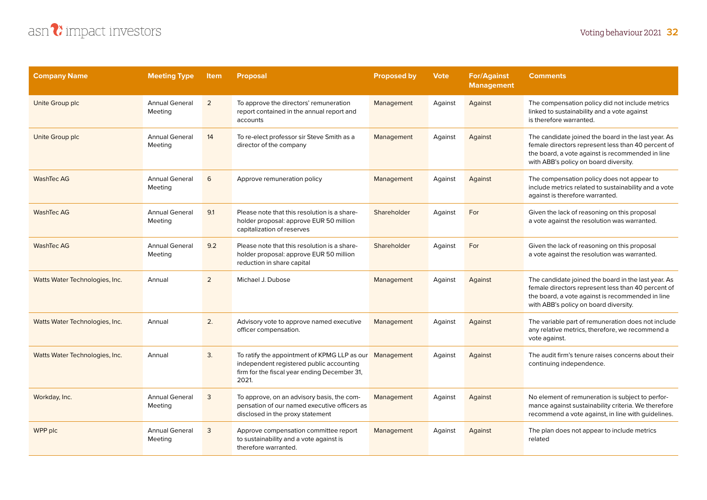## asn?impact investors

| <b>Company Name</b>            | <b>Meeting Type</b>              | <b>Item</b> | <b>Proposal</b>                                                                                                                                              | <b>Proposed by</b> | <b>Vote</b> | <b>For/Against</b><br><b>Management</b> | <b>Comments</b>                                                                                                                                                                                        |
|--------------------------------|----------------------------------|-------------|--------------------------------------------------------------------------------------------------------------------------------------------------------------|--------------------|-------------|-----------------------------------------|--------------------------------------------------------------------------------------------------------------------------------------------------------------------------------------------------------|
| Unite Group plc                | <b>Annual General</b><br>Meeting | 2           | To approve the directors' remuneration<br>report contained in the annual report and<br>accounts                                                              | Management         | Against     | Against                                 | The compensation policy did not include metrics<br>linked to sustainability and a vote against<br>is therefore warranted.                                                                              |
| Unite Group plc                | <b>Annual General</b><br>Meeting | 14          | To re-elect professor sir Steve Smith as a<br>director of the company                                                                                        | Management         | Against     | Against                                 | The candidate joined the board in the last year. As<br>female directors represent less than 40 percent of<br>the board, a vote against is recommended in line<br>with ABB's policy on board diversity. |
| <b>WashTec AG</b>              | <b>Annual General</b><br>Meeting | 6           | Approve remuneration policy                                                                                                                                  | Management         | Against     | Against                                 | The compensation policy does not appear to<br>include metrics related to sustainability and a vote<br>against is therefore warranted.                                                                  |
| <b>WashTec AG</b>              | <b>Annual General</b><br>Meeting | 9.1         | Please note that this resolution is a share-<br>holder proposal: approve EUR 50 million<br>capitalization of reserves                                        | Shareholder        | Against     | For                                     | Given the lack of reasoning on this proposal<br>a vote against the resolution was warranted.                                                                                                           |
| <b>WashTec AG</b>              | <b>Annual General</b><br>Meeting | 9.2         | Please note that this resolution is a share-<br>holder proposal: approve EUR 50 million<br>reduction in share capital                                        | Shareholder        | Against     | For                                     | Given the lack of reasoning on this proposal<br>a vote against the resolution was warranted.                                                                                                           |
| Watts Water Technologies, Inc. | Annual                           | 2           | Michael J. Dubose                                                                                                                                            | Management         | Against     | Against                                 | The candidate joined the board in the last year. As<br>female directors represent less than 40 percent of<br>the board, a vote against is recommended in line<br>with ABB's policy on board diversity. |
| Watts Water Technologies, Inc. | Annual                           | 2.          | Advisory vote to approve named executive<br>officer compensation.                                                                                            | Management         | Against     | Against                                 | The variable part of remuneration does not include<br>any relative metrics, therefore, we recommend a<br>vote against.                                                                                 |
| Watts Water Technologies, Inc. | Annual                           | 3.          | To ratify the appointment of KPMG LLP as our Management<br>independent registered public accounting<br>firm for the fiscal year ending December 31,<br>2021. |                    | Against     | Against                                 | The audit firm's tenure raises concerns about their<br>continuing independence.                                                                                                                        |
| Workday, Inc.                  | <b>Annual General</b><br>Meeting | 3           | To approve, on an advisory basis, the com-<br>pensation of our named executive officers as<br>disclosed in the proxy statement                               | Management         | Against     | Against                                 | No element of remuneration is subject to perfor-<br>mance against sustainability criteria. We therefore<br>recommend a vote against, in line with guidelines.                                          |
| WPP plc                        | <b>Annual General</b><br>Meeting | 3           | Approve compensation committee report<br>to sustainability and a vote against is<br>therefore warranted.                                                     | Management         | Against     | Against                                 | The plan does not appear to include metrics<br>related                                                                                                                                                 |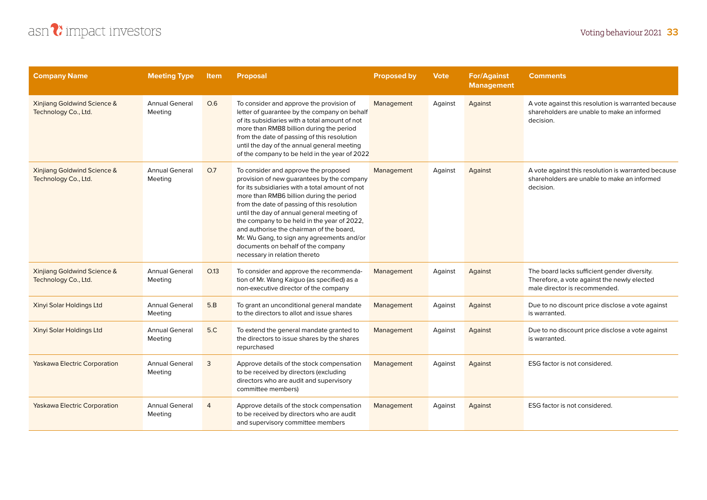

| <b>Company Name</b>                                            | <b>Meeting Type</b>              | <b>Item</b>    | <b>Proposal</b>                                                                                                                                                                                                                                                                                                                                                                                                                                                                                | <b>Proposed by</b> | <b>Vote</b> | <b>For/Against</b><br><b>Management</b> | <b>Comments</b>                                                                                                              |
|----------------------------------------------------------------|----------------------------------|----------------|------------------------------------------------------------------------------------------------------------------------------------------------------------------------------------------------------------------------------------------------------------------------------------------------------------------------------------------------------------------------------------------------------------------------------------------------------------------------------------------------|--------------------|-------------|-----------------------------------------|------------------------------------------------------------------------------------------------------------------------------|
| <b>Xinjiang Goldwind Science &amp;</b><br>Technology Co., Ltd. | <b>Annual General</b><br>Meeting | O.6            | To consider and approve the provision of<br>letter of guarantee by the company on behalf<br>of its subsidiaries with a total amount of not<br>more than RMB8 billion during the period<br>from the date of passing of this resolution<br>until the day of the annual general meeting<br>of the company to be held in the year of 2022                                                                                                                                                          | Management         | Against     | Against                                 | A vote against this resolution is warranted because<br>shareholders are unable to make an informed<br>decision.              |
| <b>Xinjiang Goldwind Science &amp;</b><br>Technology Co., Ltd. | <b>Annual General</b><br>Meeting | O.7            | To consider and approve the proposed<br>provision of new guarantees by the company<br>for its subsidiaries with a total amount of not<br>more than RMB6 billion during the period<br>from the date of passing of this resolution<br>until the day of annual general meeting of<br>the company to be held in the year of 2022,<br>and authorise the chairman of the board,<br>Mr. Wu Gang, to sign any agreements and/or<br>documents on behalf of the company<br>necessary in relation thereto | Management         | Against     | Against                                 | A vote against this resolution is warranted because<br>shareholders are unable to make an informed<br>decision.              |
| Xinjiang Goldwind Science &<br>Technology Co., Ltd.            | <b>Annual General</b><br>Meeting | O.13           | To consider and approve the recommenda-<br>tion of Mr. Wang Kaiguo (as specified) as a<br>non-executive director of the company                                                                                                                                                                                                                                                                                                                                                                | Management         | Against     | Against                                 | The board lacks sufficient gender diversity.<br>Therefore, a vote against the newly elected<br>male director is recommended. |
| Xinyi Solar Holdings Ltd                                       | <b>Annual General</b><br>Meeting | 5.B            | To grant an unconditional general mandate<br>to the directors to allot and issue shares                                                                                                                                                                                                                                                                                                                                                                                                        | Management         | Against     | Against                                 | Due to no discount price disclose a vote against<br>is warranted.                                                            |
| Xinyi Solar Holdings Ltd                                       | <b>Annual General</b><br>Meeting | 5.C            | To extend the general mandate granted to<br>the directors to issue shares by the shares<br>repurchased                                                                                                                                                                                                                                                                                                                                                                                         | Management         | Against     | Against                                 | Due to no discount price disclose a vote against<br>is warranted.                                                            |
| <b>Yaskawa Electric Corporation</b>                            | <b>Annual General</b><br>Meeting | 3              | Approve details of the stock compensation<br>to be received by directors (excluding<br>directors who are audit and supervisory<br>committee members)                                                                                                                                                                                                                                                                                                                                           | Management         | Against     | Against                                 | ESG factor is not considered.                                                                                                |
| <b>Yaskawa Electric Corporation</b>                            | <b>Annual General</b><br>Meeting | $\overline{4}$ | Approve details of the stock compensation<br>to be received by directors who are audit<br>and supervisory committee members                                                                                                                                                                                                                                                                                                                                                                    | Management         | Against     | Against                                 | ESG factor is not considered.                                                                                                |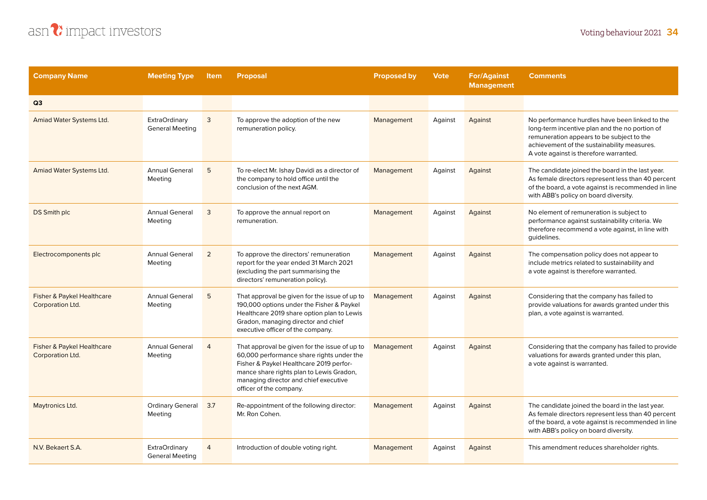

| <b>Company Name</b>                            | <b>Meeting Type</b>                            | <b>Item</b>    | <b>Proposal</b>                                                                                                                                                                                                                                       | <b>Proposed by</b> | <b>Vote</b> | <b>For/Against</b><br><b>Management</b> | <b>Comments</b>                                                                                                                                                                                                                        |
|------------------------------------------------|------------------------------------------------|----------------|-------------------------------------------------------------------------------------------------------------------------------------------------------------------------------------------------------------------------------------------------------|--------------------|-------------|-----------------------------------------|----------------------------------------------------------------------------------------------------------------------------------------------------------------------------------------------------------------------------------------|
| Q3                                             |                                                |                |                                                                                                                                                                                                                                                       |                    |             |                                         |                                                                                                                                                                                                                                        |
| Amiad Water Systems Ltd.                       | <b>ExtraOrdinary</b><br><b>General Meeting</b> | 3              | To approve the adoption of the new<br>remuneration policy.                                                                                                                                                                                            | Management         | Against     | Against                                 | No performance hurdles have been linked to the<br>long-term incentive plan and the no portion of<br>remuneration appears to be subject to the<br>achievement of the sustainability measures.<br>A vote against is therefore warranted. |
| Amiad Water Systems Ltd.                       | <b>Annual General</b><br>Meeting               | 5              | To re-elect Mr. Ishay Davidi as a director of<br>the company to hold office until the<br>conclusion of the next AGM.                                                                                                                                  | Management         | Against     | Against                                 | The candidate joined the board in the last year.<br>As female directors represent less than 40 percent<br>of the board, a vote against is recommended in line<br>with ABB's policy on board diversity.                                 |
| DS Smith plc                                   | <b>Annual General</b><br>Meeting               | 3              | To approve the annual report on<br>remuneration.                                                                                                                                                                                                      | Management         | Against     | Against                                 | No element of remuneration is subject to<br>performance against sustainability criteria. We<br>therefore recommend a vote against, in line with<br>guidelines.                                                                         |
| Electrocomponents plc                          | <b>Annual General</b><br>Meeting               | $\overline{2}$ | To approve the directors' remuneration<br>report for the year ended 31 March 2021<br>(excluding the part summarising the<br>directors' remuneration policy).                                                                                          | Management         | Against     | Against                                 | The compensation policy does not appear to<br>include metrics related to sustainability and<br>a vote against is therefore warranted.                                                                                                  |
| Fisher & Paykel Healthcare<br>Corporation Ltd. | <b>Annual General</b><br>Meeting               | 5              | That approval be given for the issue of up to<br>190,000 options under the Fisher & Paykel<br>Healthcare 2019 share option plan to Lewis<br>Gradon, managing director and chief<br>executive officer of the company.                                  | Management         | Against     | Against                                 | Considering that the company has failed to<br>provide valuations for awards granted under this<br>plan, a vote against is warranted.                                                                                                   |
| Fisher & Paykel Healthcare<br>Corporation Ltd. | <b>Annual General</b><br>Meeting               | 4              | That approval be given for the issue of up to<br>60,000 performance share rights under the<br>Fisher & Paykel Healthcare 2019 perfor-<br>mance share rights plan to Lewis Gradon,<br>managing director and chief executive<br>officer of the company. | Management         | Against     | Against                                 | Considering that the company has failed to provide<br>valuations for awards granted under this plan,<br>a vote against is warranted.                                                                                                   |
| Maytronics Ltd.                                | <b>Ordinary General</b><br>Meeting             | 3.7            | Re-appointment of the following director:<br>Mr. Ron Cohen.                                                                                                                                                                                           | Management         | Against     | Against                                 | The candidate joined the board in the last year.<br>As female directors represent less than 40 percent<br>of the board, a vote against is recommended in line<br>with ABB's policy on board diversity.                                 |
| N.V. Bekaert S.A.                              | <b>ExtraOrdinary</b><br><b>General Meeting</b> | $\overline{4}$ | Introduction of double voting right.                                                                                                                                                                                                                  | Management         | Against     | Against                                 | This amendment reduces shareholder rights.                                                                                                                                                                                             |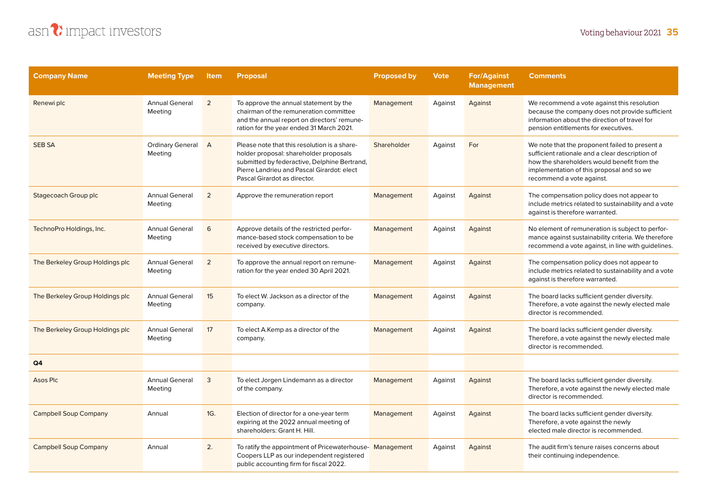

| <b>Company Name</b>             | <b>Meeting Type</b>                | <b>Item</b>    | <b>Proposal</b>                                                                                                                                                                                                      | <b>Proposed by</b> | <b>Vote</b> | <b>For/Against</b><br><b>Management</b> | <b>Comments</b>                                                                                                                                                                                                            |
|---------------------------------|------------------------------------|----------------|----------------------------------------------------------------------------------------------------------------------------------------------------------------------------------------------------------------------|--------------------|-------------|-----------------------------------------|----------------------------------------------------------------------------------------------------------------------------------------------------------------------------------------------------------------------------|
| Renewi plc                      | <b>Annual General</b><br>Meeting   | $\overline{2}$ | To approve the annual statement by the<br>chairman of the remuneration committee<br>and the annual report on directors' remune-<br>ration for the year ended 31 March 2021.                                          | Management         | Against     | Against                                 | We recommend a vote against this resolution<br>because the company does not provide sufficient<br>information about the direction of travel for<br>pension entitlements for executives.                                    |
| <b>SEB SA</b>                   | <b>Ordinary General</b><br>Meeting | $\overline{A}$ | Please note that this resolution is a share-<br>holder proposal: shareholder proposals<br>submitted by federactive, Delphine Bertrand,<br>Pierre Landrieu and Pascal Girardot: elect<br>Pascal Girardot as director. | Shareholder        | Against     | For                                     | We note that the proponent failed to present a<br>sufficient rationale and a clear description of<br>how the shareholders would benefit from the<br>implementation of this proposal and so we<br>recommend a vote against. |
| Stagecoach Group plc            | <b>Annual General</b><br>Meeting   | $\overline{2}$ | Approve the remuneration report                                                                                                                                                                                      | Management         | Against     | Against                                 | The compensation policy does not appear to<br>include metrics related to sustainability and a vote<br>against is therefore warranted.                                                                                      |
| TechnoPro Holdings, Inc.        | <b>Annual General</b><br>Meeting   | 6              | Approve details of the restricted perfor-<br>mance-based stock compensation to be<br>received by executive directors.                                                                                                | Management         | Against     | Against                                 | No element of remuneration is subject to perfor-<br>mance against sustainability criteria. We therefore<br>recommend a vote against, in line with guidelines.                                                              |
| The Berkeley Group Holdings plc | <b>Annual General</b><br>Meeting   | $\overline{2}$ | To approve the annual report on remune-<br>ration for the year ended 30 April 2021.                                                                                                                                  | Management         | Against     | Against                                 | The compensation policy does not appear to<br>include metrics related to sustainability and a vote<br>against is therefore warranted.                                                                                      |
| The Berkeley Group Holdings plc | <b>Annual General</b><br>Meeting   | 15             | To elect W. Jackson as a director of the<br>company.                                                                                                                                                                 | Management         | Against     | Against                                 | The board lacks sufficient gender diversity.<br>Therefore, a vote against the newly elected male<br>director is recommended.                                                                                               |
| The Berkeley Group Holdings plc | <b>Annual General</b><br>Meeting   | 17             | To elect A.Kemp as a director of the<br>company.                                                                                                                                                                     | Management         | Against     | Against                                 | The board lacks sufficient gender diversity.<br>Therefore, a vote against the newly elected male<br>director is recommended.                                                                                               |
| Q4                              |                                    |                |                                                                                                                                                                                                                      |                    |             |                                         |                                                                                                                                                                                                                            |
| Asos Plc                        | <b>Annual General</b><br>Meeting   | 3              | To elect Jorgen Lindemann as a director<br>of the company.                                                                                                                                                           | Management         | Against     | Against                                 | The board lacks sufficient gender diversity.<br>Therefore, a vote against the newly elected male<br>director is recommended.                                                                                               |
| <b>Campbell Soup Company</b>    | Annual                             | 1G.            | Election of director for a one-year term<br>expiring at the 2022 annual meeting of<br>shareholders: Grant H. Hill.                                                                                                   | Management         | Against     | Against                                 | The board lacks sufficient gender diversity.<br>Therefore, a vote against the newly<br>elected male director is recommended.                                                                                               |
| <b>Campbell Soup Company</b>    | Annual                             | 2.             | To ratify the appointment of Pricewaterhouse-Management<br>Coopers LLP as our independent registered<br>public accounting firm for fiscal 2022.                                                                      |                    | Against     | Against                                 | The audit firm's tenure raises concerns about<br>their continuing independence.                                                                                                                                            |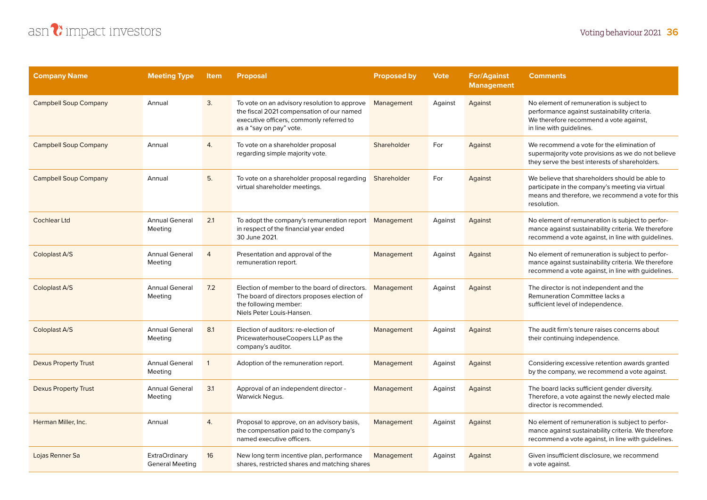

| <b>Company Name</b>          | <b>Meeting Type</b>                            | <b>Item</b>    | <b>Proposal</b>                                                                                                                                                  | <b>Proposed by</b> | <b>Vote</b> | <b>For/Against</b><br><b>Management</b> | <b>Comments</b>                                                                                                                                                        |
|------------------------------|------------------------------------------------|----------------|------------------------------------------------------------------------------------------------------------------------------------------------------------------|--------------------|-------------|-----------------------------------------|------------------------------------------------------------------------------------------------------------------------------------------------------------------------|
| <b>Campbell Soup Company</b> | Annual                                         | 3.             | To vote on an advisory resolution to approve<br>the fiscal 2021 compensation of our named<br>executive officers, commonly referred to<br>as a "say on pay" vote. | Management         | Against     | Against                                 | No element of remuneration is subject to<br>performance against sustainability criteria.<br>We therefore recommend a vote against,<br>in line with guidelines.         |
| <b>Campbell Soup Company</b> | Annual                                         | 4.             | To vote on a shareholder proposal<br>regarding simple majority vote.                                                                                             | Shareholder        | For         | Against                                 | We recommend a vote for the elimination of<br>supermajority vote provisions as we do not believe<br>they serve the best interests of shareholders.                     |
| <b>Campbell Soup Company</b> | Annual                                         | 5.             | To vote on a shareholder proposal regarding<br>virtual shareholder meetings.                                                                                     | Shareholder        | For         | Against                                 | We believe that shareholders should be able to<br>participate in the company's meeting via virtual<br>means and therefore, we recommend a vote for this<br>resolution. |
| <b>Cochlear Ltd</b>          | <b>Annual General</b><br>Meeting               | 2.1            | To adopt the company's remuneration report<br>in respect of the financial year ended<br>30 June 2021.                                                            | Management         | Against     | Against                                 | No element of remuneration is subject to perfor-<br>mance against sustainability criteria. We therefore<br>recommend a vote against, in line with guidelines.          |
| Coloplast A/S                | <b>Annual General</b><br>Meeting               | $\overline{4}$ | Presentation and approval of the<br>remuneration report.                                                                                                         | Management         | Against     | Against                                 | No element of remuneration is subject to perfor-<br>mance against sustainability criteria. We therefore<br>recommend a vote against, in line with guidelines.          |
| Coloplast A/S                | <b>Annual General</b><br>Meeting               | 7.2            | Election of member to the board of directors.<br>The board of directors proposes election of<br>the following member:<br>Niels Peter Louis-Hansen.               | Management         | Against     | Against                                 | The director is not independent and the<br>Remuneration Committee lacks a<br>sufficient level of independence.                                                         |
| Coloplast A/S                | <b>Annual General</b><br>Meeting               | 8.1            | Election of auditors: re-election of<br>PricewaterhouseCoopers LLP as the<br>company's auditor.                                                                  | Management         | Against     | Against                                 | The audit firm's tenure raises concerns about<br>their continuing independence.                                                                                        |
| <b>Dexus Property Trust</b>  | <b>Annual General</b><br>Meeting               | $\mathbf{1}$   | Adoption of the remuneration report.                                                                                                                             | Management         | Against     | Against                                 | Considering excessive retention awards granted<br>by the company, we recommend a vote against.                                                                         |
| <b>Dexus Property Trust</b>  | <b>Annual General</b><br>Meeting               | 3.1            | Approval of an independent director -<br>Warwick Negus.                                                                                                          | Management         | Against     | Against                                 | The board lacks sufficient gender diversity.<br>Therefore, a vote against the newly elected male<br>director is recommended.                                           |
| Herman Miller, Inc.          | Annual                                         | 4.             | Proposal to approve, on an advisory basis,<br>the compensation paid to the company's<br>named executive officers.                                                | Management         | Against     | Against                                 | No element of remuneration is subject to perfor-<br>mance against sustainability criteria. We therefore<br>recommend a vote against, in line with guidelines.          |
| Lojas Renner Sa              | <b>ExtraOrdinary</b><br><b>General Meeting</b> | 16             | New long term incentive plan, performance<br>shares, restricted shares and matching shares                                                                       | Management         | Against     | Against                                 | Given insufficient disclosure, we recommend<br>a vote against.                                                                                                         |